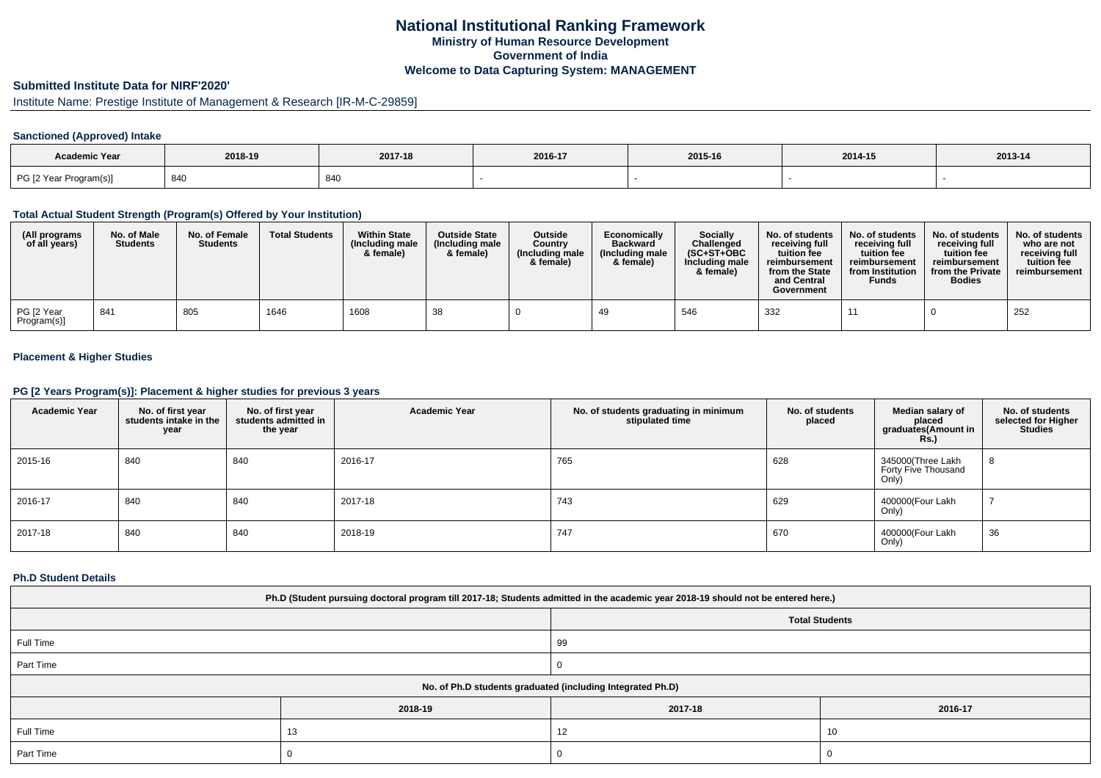## **National Institutional Ranking FrameworkMinistry of Human Resource DevelopmentGovernment of IndiaWelcome to Data Capturing System: MANAGEMENT**

# **Submitted Institute Data for NIRF'2020'**

# Institute Name: Prestige Institute of Management & Research [IR-M-C-29859]

## **Sanctioned (Approved) Intake**

| Academic Year          | 2018-19         | 2017-18 | 2016-17 | 2015-16 | 2014-15 | 2013-14 |
|------------------------|-----------------|---------|---------|---------|---------|---------|
| PG [2 Year Program(s)] | 0 <sub>10</sub> | 840     |         |         |         |         |

### **Total Actual Student Strength (Program(s) Offered by Your Institution)**

| (All programs<br>of all years) | No. of Male<br><b>Students</b> | No. of Female<br><b>Students</b> | <b>Total Students</b> | <b>Within State</b><br>(Including male<br>& female) | <b>Outside State</b><br>(Including male<br>& female) | Outside<br>Country<br>(Including male)<br>& female) | Economically<br><b>Backward</b><br>(Including male<br>& female) | <b>Socially</b><br>Challenged<br>$(SC+ST+OBC$<br>Including male<br>& female) | No. of students<br>receivina full<br>tuition fee<br>reimbursement<br>from the State<br>and Central<br>Government | No. of students<br>receiving full<br>tuition fee<br>reimbursement<br>from Institution<br><b>Funds</b> | No. of students<br>receiving full<br>tuition fee<br>reimbursement<br>from the Private<br><b>Bodies</b> | No. of students<br>who are not<br>receivina full<br>tuition fee<br>reimbursement |
|--------------------------------|--------------------------------|----------------------------------|-----------------------|-----------------------------------------------------|------------------------------------------------------|-----------------------------------------------------|-----------------------------------------------------------------|------------------------------------------------------------------------------|------------------------------------------------------------------------------------------------------------------|-------------------------------------------------------------------------------------------------------|--------------------------------------------------------------------------------------------------------|----------------------------------------------------------------------------------|
| PG [2 Year<br>Program(s)]      | 841                            | 805                              | 1646                  | 1608                                                | 38                                                   |                                                     |                                                                 | 546                                                                          | 332                                                                                                              |                                                                                                       |                                                                                                        | 252                                                                              |

## **Placement & Higher Studies**

## **PG [2 Years Program(s)]: Placement & higher studies for previous 3 years**

| <b>Academic Year</b> | No. of first year<br>students intake in the<br>year | No. of first year<br>students admitted in<br>the year | <b>Academic Year</b> | No. of students graduating in minimum<br>stipulated time | No. of students<br>placed | Median salary of<br>placed<br>graduates(Amount in<br><b>Rs.)</b> | No. of students<br>selected for Higher<br><b>Studies</b> |
|----------------------|-----------------------------------------------------|-------------------------------------------------------|----------------------|----------------------------------------------------------|---------------------------|------------------------------------------------------------------|----------------------------------------------------------|
| 2015-16              | 840                                                 | 840                                                   | 2016-17              | 765                                                      | 628                       | 345000(Three Lakh<br>Forty Five Thousand<br>Only)                | 8                                                        |
| 2016-17              | 840                                                 | 840                                                   | 2017-18              | 743                                                      | 629                       | 400000(Four Lakh<br>Only)                                        |                                                          |
| 2017-18              | 840                                                 | 840                                                   | 2018-19              | 747                                                      | 670                       | 400000(Four Lakh<br>Only)                                        | 36                                                       |

### **Ph.D Student Details**

| Ph.D (Student pursuing doctoral program till 2017-18; Students admitted in the academic year 2018-19 should not be entered here.) |         |                                                            |         |  |  |  |  |
|-----------------------------------------------------------------------------------------------------------------------------------|---------|------------------------------------------------------------|---------|--|--|--|--|
| <b>Total Students</b>                                                                                                             |         |                                                            |         |  |  |  |  |
| Full Time                                                                                                                         |         | 99                                                         |         |  |  |  |  |
| Part Time                                                                                                                         |         |                                                            |         |  |  |  |  |
|                                                                                                                                   |         | No. of Ph.D students graduated (including Integrated Ph.D) |         |  |  |  |  |
|                                                                                                                                   | 2018-19 | 2017-18                                                    | 2016-17 |  |  |  |  |
| Full Time                                                                                                                         | 13      | 12                                                         | 10      |  |  |  |  |
| Part Time                                                                                                                         |         |                                                            |         |  |  |  |  |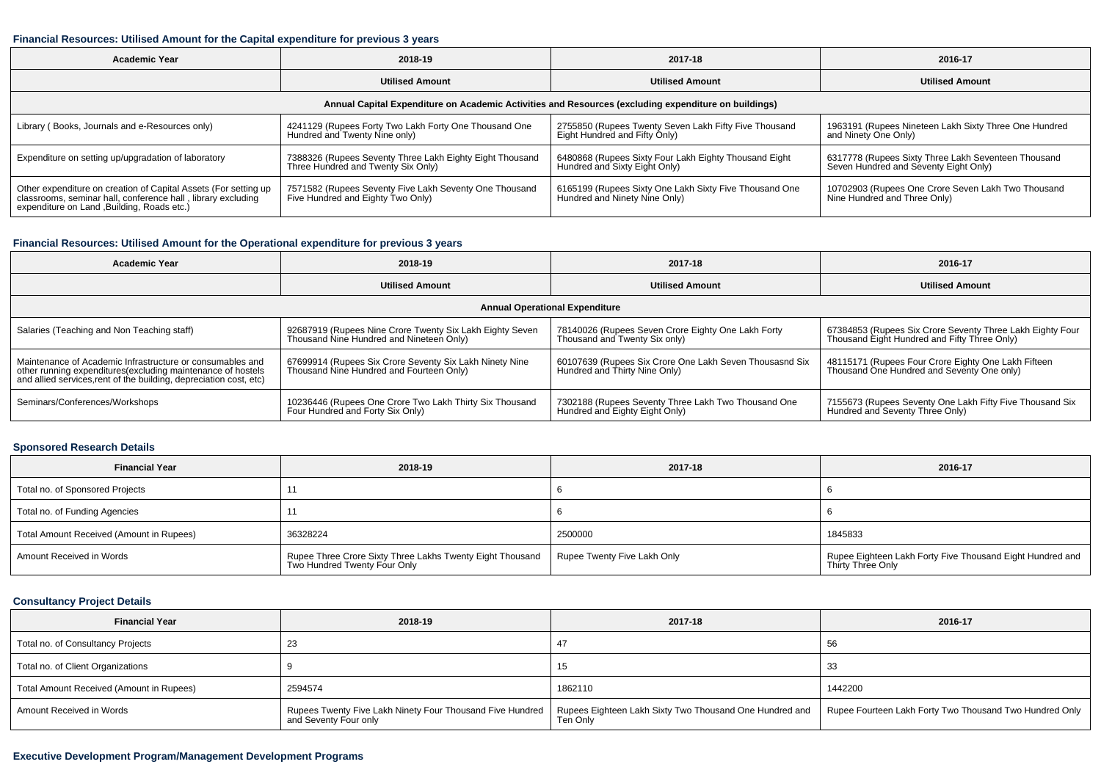## **Financial Resources: Utilised Amount for the Capital expenditure for previous 3 years**

| <b>Academic Year</b>                                                                                                                                                           | 2018-19                                                                                        | 2017-18                                                                                 | 2016-17                                                                                      |  |  |  |  |  |
|--------------------------------------------------------------------------------------------------------------------------------------------------------------------------------|------------------------------------------------------------------------------------------------|-----------------------------------------------------------------------------------------|----------------------------------------------------------------------------------------------|--|--|--|--|--|
|                                                                                                                                                                                | <b>Utilised Amount</b>                                                                         | <b>Utilised Amount</b>                                                                  | <b>Utilised Amount</b>                                                                       |  |  |  |  |  |
| Annual Capital Expenditure on Academic Activities and Resources (excluding expenditure on buildings)                                                                           |                                                                                                |                                                                                         |                                                                                              |  |  |  |  |  |
| Library (Books, Journals and e-Resources only)                                                                                                                                 | 4241129 (Rupees Forty Two Lakh Forty One Thousand One<br>Hundred and Twenty Nine only)         | 2755850 (Rupees Twenty Seven Lakh Fifty Five Thousand<br>Eight Hundred and Fifty Only)  | 1963191 (Rupees Nineteen Lakh Sixty Three One Hundred<br>and Ninety One Only)                |  |  |  |  |  |
| Expenditure on setting up/upgradation of laboratory                                                                                                                            | 7388326 (Rupees Seventy Three Lakh Eighty Eight Thousand<br>Three Hundred and Twenty Six Only) | 6480868 (Rupees Sixty Four Lakh Eighty Thousand Eight<br>Hundred and Sixty Eight Only)  | 6317778 (Rupees Sixty Three Lakh Seventeen Thousand<br>Seven Hundred and Seventy Eight Only) |  |  |  |  |  |
| Other expenditure on creation of Capital Assets (For setting up<br>classrooms, seminar hall, conference hall, library excluding<br>expenditure on Land , Building, Roads etc.) | 7571582 (Rupees Seventy Five Lakh Seventy One Thousand<br>Five Hundred and Eighty Two Only)    | 6165199 (Rupees Sixty One Lakh Sixty Five Thousand One<br>Hundred and Ninety Nine Only) | 10702903 (Rupees One Crore Seven Lakh Two Thousand<br>Nine Hundred and Three Only)           |  |  |  |  |  |

## **Financial Resources: Utilised Amount for the Operational expenditure for previous 3 years**

| Academic Year                                                                                                                     | 2018-19                                                  | 2017-18                                                 | 2016-17                                                   |  |  |  |  |  |  |
|-----------------------------------------------------------------------------------------------------------------------------------|----------------------------------------------------------|---------------------------------------------------------|-----------------------------------------------------------|--|--|--|--|--|--|
|                                                                                                                                   | <b>Utilised Amount</b>                                   | <b>Utilised Amount</b>                                  | <b>Utilised Amount</b>                                    |  |  |  |  |  |  |
| <b>Annual Operational Expenditure</b>                                                                                             |                                                          |                                                         |                                                           |  |  |  |  |  |  |
| Salaries (Teaching and Non Teaching staff)                                                                                        | 92687919 (Rupees Nine Crore Twenty Six Lakh Eighty Seven | 78140026 (Rupees Seven Crore Eighty One Lakh Forty      | 67384853 (Rupees Six Crore Seventy Three Lakh Eighty Four |  |  |  |  |  |  |
|                                                                                                                                   | Thousand Nine Hundred and Nineteen Only)                 | Thousand and Twenty Six only)                           | Thousand Eight Hundred and Fifty Three Only)              |  |  |  |  |  |  |
| Maintenance of Academic Infrastructure or consumables and                                                                         | 67699914 (Rupees Six Crore Seventy Six Lakh Ninety Nine  | 60107639 (Rupees Six Crore One Lakh Seven Thousasnd Six | 48115171 (Rupees Four Crore Eighty One Lakh Fifteen       |  |  |  |  |  |  |
| other running expenditures(excluding maintenance of hostels<br>and allied services, rent of the building, depreciation cost, etc) | Thousand Nine Hundred and Fourteen Only)                 | Hundred and Thirty Nine Only)                           | Thousand One Hundred and Seventy One only)                |  |  |  |  |  |  |
| Seminars/Conferences/Workshops                                                                                                    | 10236446 (Rupees One Crore Two Lakh Thirty Six Thousand  | 7302188 (Rupees Seventy Three Lakh Two Thousand One     | 7155673 (Rupees Seventy One Lakh Fifty Five Thousand Six  |  |  |  |  |  |  |
|                                                                                                                                   | Four Hundred and Forty Six Only)                         | Hundred and Eighty Eight Only)                          | Hundred and Seventy Three Only)                           |  |  |  |  |  |  |

# **Sponsored Research Details**

| <b>Financial Year</b>                    | 2018-19                                                                                                | 2017-18                     | 2016-17                                                                        |
|------------------------------------------|--------------------------------------------------------------------------------------------------------|-----------------------------|--------------------------------------------------------------------------------|
| Total no. of Sponsored Projects          |                                                                                                        |                             |                                                                                |
| Total no. of Funding Agencies            |                                                                                                        |                             |                                                                                |
| Total Amount Received (Amount in Rupees) | 36328224                                                                                               | 2500000                     | 1845833                                                                        |
| Amount Received in Words                 | <sup>1</sup> Rupee Three Crore Sixty Three Lakhs Twenty Eight Thousand<br>Two Hundred Twenty Four Only | Rupee Twenty Five Lakh Only | Rupee Eighteen Lakh Forty Five Thousand Eight Hundred and<br>Thirty Three Only |

## **Consultancy Project Details**

| <b>Financial Year</b>                    | 2018-19                                                                            | 2017-18                                                             | 2016-17                                                 |
|------------------------------------------|------------------------------------------------------------------------------------|---------------------------------------------------------------------|---------------------------------------------------------|
| Total no. of Consultancy Projects        | 23                                                                                 |                                                                     | 56                                                      |
| Total no. of Client Organizations        |                                                                                    | 15                                                                  | -33                                                     |
| Total Amount Received (Amount in Rupees) | 2594574                                                                            | 1862110                                                             | 1442200                                                 |
| Amount Received in Words                 | Rupees Twenty Five Lakh Ninety Four Thousand Five Hundred<br>and Seventy Four only | Rupees Eighteen Lakh Sixty Two Thousand One Hundred and<br>Ten Only | Rupee Fourteen Lakh Forty Two Thousand Two Hundred Only |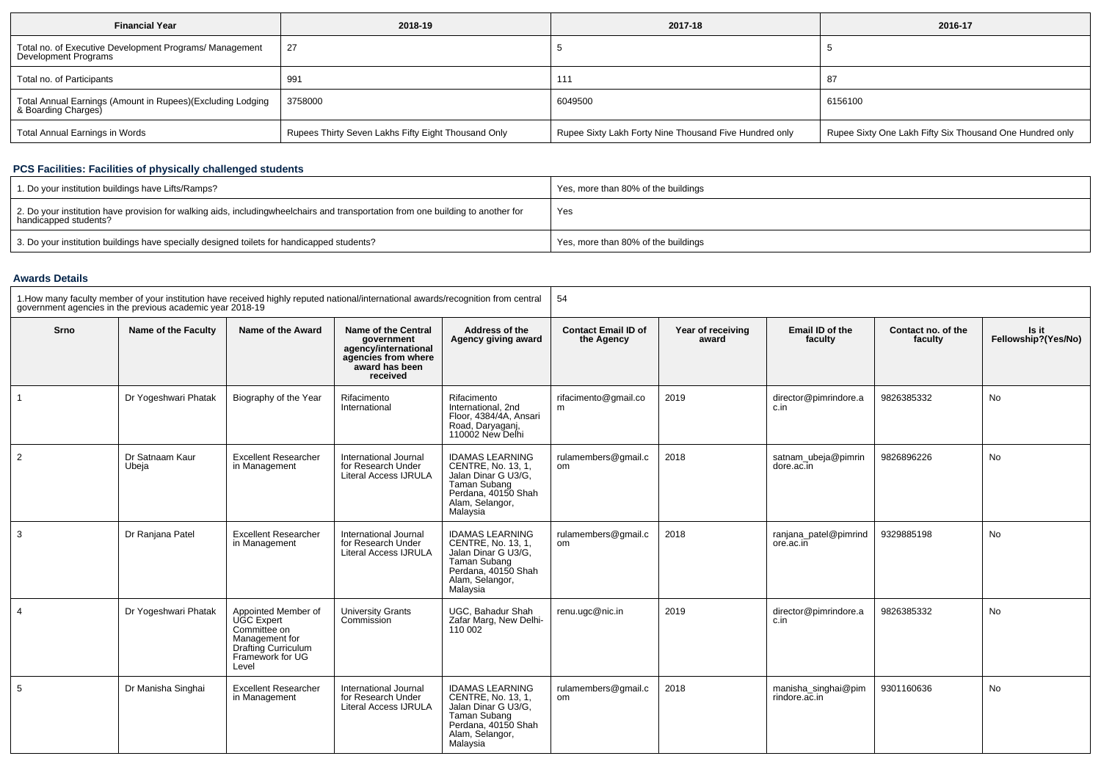| <b>Financial Year</b>                                                             | 2018-19                                             | 2017-18                                                | 2016-17                                                  |
|-----------------------------------------------------------------------------------|-----------------------------------------------------|--------------------------------------------------------|----------------------------------------------------------|
| Total no. of Executive Development Programs/ Management<br>Development Programs   | 27                                                  |                                                        |                                                          |
| Total no. of Participants                                                         | 991                                                 | 111                                                    | 87                                                       |
| Total Annual Earnings (Amount in Rupees)(Excluding Lodging<br>& Boarding Charges) | 3758000                                             | 6049500                                                | 6156100                                                  |
| Total Annual Earnings in Words                                                    | Rupees Thirty Seven Lakhs Fifty Eight Thousand Only | Rupee Sixty Lakh Forty Nine Thousand Five Hundred only | Rupee Sixty One Lakh Fifty Six Thousand One Hundred only |

## **PCS Facilities: Facilities of physically challenged students**

| 1. Do your institution buildings have Lifts/Ramps?                                                                                                        | Yes, more than 80% of the buildings |
|-----------------------------------------------------------------------------------------------------------------------------------------------------------|-------------------------------------|
| 2. Do your institution have provision for walking aids, includingwheelchairs and transportation from one building to another for<br>handicapped students? | Yes                                 |
| 3. Do your institution buildings have specially designed toilets for handicapped students?                                                                | Yes, more than 80% of the buildings |

#### **Awards Details**

| 1. How many faculty member of your institution have received highly reputed national/international awards/recognition from central<br>government agencies in the previous academic year 2018-19 |                          |                                                                                                                          | 54                                                                                                                    |                                                                                                                                                         |                                          |                            |                                      |                               |                              |
|-------------------------------------------------------------------------------------------------------------------------------------------------------------------------------------------------|--------------------------|--------------------------------------------------------------------------------------------------------------------------|-----------------------------------------------------------------------------------------------------------------------|---------------------------------------------------------------------------------------------------------------------------------------------------------|------------------------------------------|----------------------------|--------------------------------------|-------------------------------|------------------------------|
| Srno                                                                                                                                                                                            | Name of the Faculty      | Name of the Award                                                                                                        | <b>Name of the Central</b><br>aovernment<br>agency/international<br>agencies from where<br>award has been<br>received | Address of the<br>Agency giving award                                                                                                                   | <b>Contact Email ID of</b><br>the Agency | Year of receiving<br>award | Email ID of the<br>faculty           | Contact no. of the<br>faculty | Is it<br>Fellowship?(Yes/No) |
|                                                                                                                                                                                                 | Dr Yogeshwari Phatak     | Biography of the Year                                                                                                    | Rifacimento<br>International                                                                                          | Rifacimento<br>International, 2nd<br>Floor, 4384/4A, Ansari<br>Road, Daryaganj,<br>110002 New Delhi                                                     | rifacimento@gmail.co<br>m                | 2019                       | director@pimrindore.a<br>c.in        | 9826385332                    | No                           |
| 2                                                                                                                                                                                               | Dr Satnaam Kaur<br>Ubeja | <b>Excellent Researcher</b><br>in Management                                                                             | International Journal<br>for Research Under<br><b>Literal Access IJRULA</b>                                           | <b>IDAMAS LEARNING</b><br>CENTRE, No. 13, 1,<br>Jalan Dinar G U3/G.<br>Taman Subang<br>Perdana, 40150 Shah<br>Alam, Selangor,<br>Malaysia               | rulamembers@gmail.c<br>om                | 2018                       | satnam ubeja@pimrin<br>dore.ac.in    | 9826896226                    | <b>No</b>                    |
| 3                                                                                                                                                                                               | Dr Ranjana Patel         | <b>Excellent Researcher</b><br>in Management                                                                             | International Journal<br>for Research Under<br><b>Literal Access IJRULA</b>                                           | <b>IDAMAS LEARNING</b><br><b>CENTRE, No. 13, 1.</b><br>Jalan Dinar G U3/G,<br><b>Taman Subang</b><br>Perdana, 40150 Shah<br>Alam, Selangor,<br>Malaysia | rulamembers@gmail.c<br>om                | 2018                       | ranjana patel@pimrind<br>ore.ac.in   | 9329885198                    | <b>No</b>                    |
| 4                                                                                                                                                                                               | Dr Yogeshwari Phatak     | Appointed Member of<br>UGC Expert<br>Committiee on<br>Management for<br>Drafting Curriculum<br>Framework for UG<br>Level | <b>University Grants</b><br>Commission                                                                                | UGC. Bahadur Shah<br>Zafar Marg, New Delhi-<br>110 002                                                                                                  | renu.ugc@nic.in                          | 2019                       | director@pimrindore.a<br>c.in        | 9826385332                    | No                           |
| 5                                                                                                                                                                                               | Dr Manisha Singhai       | <b>Excellent Researcher</b><br>in Management                                                                             | International Journal<br>for Research Under<br><b>Literal Access IJRULA</b>                                           | <b>IDAMAS LEARNING</b><br>CENTRE, No. 13, 1.<br>Jalan Dinar G U3/G.<br>Taman Subang<br>Perdana, 40150 Shah<br>Alam, Selangor,<br>Malaysia               | rulamembers@gmail.c<br>om                | 2018                       | manisha_singhai@pim<br>rindore.ac.in | 9301160636                    | <b>No</b>                    |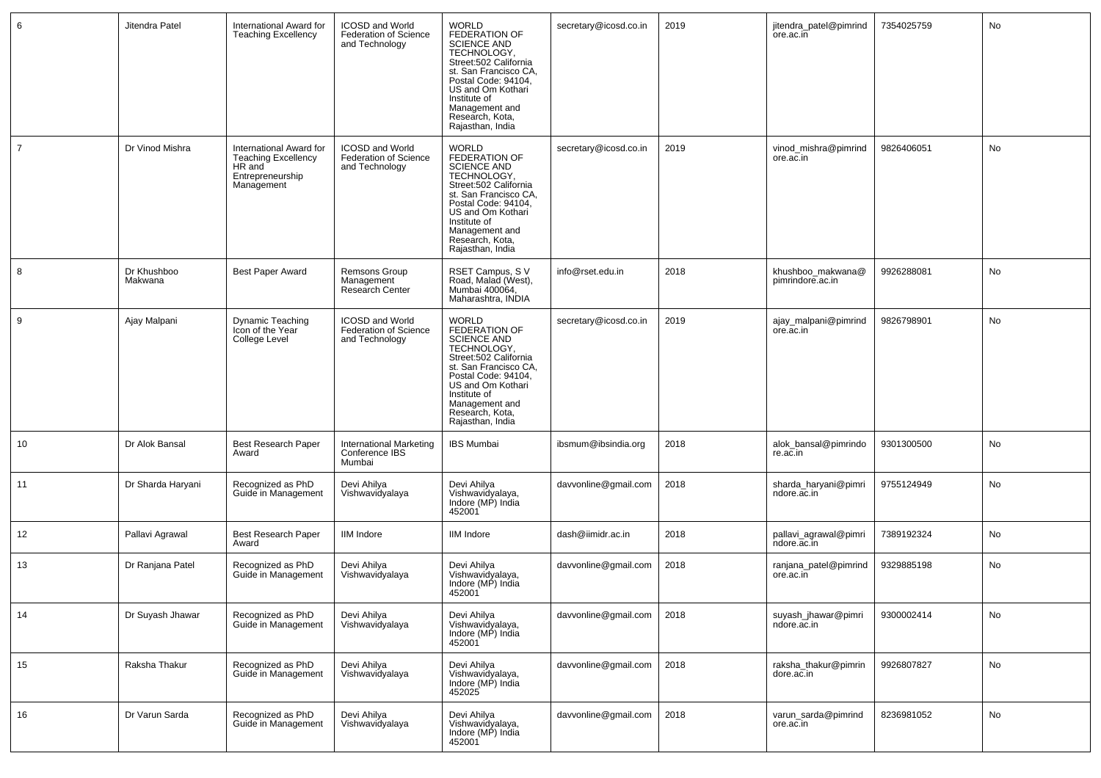| 6              | Jitendra Patel         | International Award for<br><b>Teaching Excellency</b>                                             | <b>ICOSD and World</b><br><b>Federation of Science</b><br>and Technology | <b>WORLD</b><br>FEDERATION OF<br><b>SCIENCE AND</b><br>TECHNOLOGY,<br>Street:502 California<br>st. San Francisco CA,<br>Postal Code: 94104.<br>US and Om Kothari<br>Institute of<br>Management and<br>Research, Kota,<br>Rajasthan, India        | secretary@icosd.co.in | 2019 | jitendra_patel@pimrind<br>ore ac in   | 7354025759 | No |
|----------------|------------------------|---------------------------------------------------------------------------------------------------|--------------------------------------------------------------------------|--------------------------------------------------------------------------------------------------------------------------------------------------------------------------------------------------------------------------------------------------|-----------------------|------|---------------------------------------|------------|----|
| $\overline{7}$ | Dr Vinod Mishra        | International Award for<br><b>Teaching Excellency</b><br>HR and<br>Entrepreneurship<br>Management | <b>ICOSD and World</b><br><b>Federation of Science</b><br>and Technology | <b>WORLD</b><br><b>FEDERATION OF</b><br><b>SCIENCE AND</b><br>TECHNOLOGY,<br>Street:502 California<br>st. San Francisco CA,<br>Postal Code: 94104,<br>US and Om Kothari<br>Institute of<br>Management and<br>Research, Kota,<br>Rajasthan, India | secretary@icosd.co.in | 2019 | vinod_mishra@pimrind<br>ore.ac.in     | 9826406051 | No |
| 8              | Dr Khushboo<br>Makwana | <b>Best Paper Award</b>                                                                           | Remsons Group<br>Management<br>Research Center                           | RSET Campus, SV<br>Road, Malad (West),<br>Mumbai 400064,<br>Maharashtra, INDIA                                                                                                                                                                   | info@rset.edu.in      | 2018 | khushboo_makwana@<br>pimrindore.ac.in | 9926288081 | No |
| 9              | Ajay Malpani           | Dynamic Teaching<br>Icon of the Year<br>College Level                                             | <b>ICOSD and World</b><br><b>Federation of Science</b><br>and Technology | <b>WORLD</b><br>FEDERATION OF<br><b>SCIENCE AND</b><br>TECHNOLOGY.<br>Street:502 California<br>st. San Francisco CA,<br>Postal Code: 94104,<br>US and Om Kothari<br>Institute of<br>Management and<br>Research, Kota,<br>Rajasthan, India        | secretary@icosd.co.in | 2019 | ajay_malpani@pimrind<br>ore.ac.in     | 9826798901 | No |
| 10             | Dr Alok Bansal         | Best Research Paper<br>Award                                                                      | International Marketing<br>Conference IBS<br>Mumbai                      | <b>IBS Mumbai</b>                                                                                                                                                                                                                                | ibsmum@ibsindia.org   | 2018 | alok_bansal@pimrindo<br>re.ac.in      | 9301300500 | No |
| 11             | Dr Sharda Haryani      | Recognized as PhD<br>Guide in Management                                                          | Devi Ahilya<br>Vishwavidyalaya                                           | Devi Ahilya<br>Vishwavidyalaya,<br>Indore (MP) India<br>452001                                                                                                                                                                                   | davvonline@gmail.com  | 2018 | sharda_haryani@pimri<br>ndore.ac.in   | 9755124949 | No |
| 12             | Pallavi Agrawal        | <b>Best Research Paper</b><br>Award                                                               | <b>IIM</b> Indore                                                        | <b>IIM</b> Indore                                                                                                                                                                                                                                | dash@iimidr.ac.in     | 2018 | pallavi_agrawal@pimri<br>ndore.ac.in  | 7389192324 | No |
| 13             | Dr Ranjana Patel       | Recognized as PhD<br>Guide in Management                                                          | Devi Ahilya<br>Vishwavidyalaya                                           | Devi Ahilya<br>Vishwavidyalaya,<br>Indore (MP) India<br>452001                                                                                                                                                                                   | davvonline@gmail.com  | 2018 | ranjana_patel@pimrind<br>ore.ac.in    | 9329885198 | No |
| 14             | Dr Suyash Jhawar       | Recognized as PhD<br>Guide in Management                                                          | Devi Ahilya<br>Vishwavidyalaya                                           | Devi Ahilya<br>Vishwavidyalaya,<br>Indore (MP) India<br>452001                                                                                                                                                                                   | davvonline@gmail.com  | 2018 | suyash_jhawar@pimri<br>ndore ac in    | 9300002414 | No |
| 15             | Raksha Thakur          | Recognized as PhD<br>Guide in Management                                                          | Devi Ahilya<br>Vishwavidyalaya                                           | Devi Ahilya<br>Vishwavidyalaya,<br>Indore (MP) India<br>452025                                                                                                                                                                                   | davvonline@gmail.com  | 2018 | raksha_thakur@pimrin<br>dore.ac.in    | 9926807827 | No |
| 16             | Dr Varun Sarda         | Recognized as PhD<br>Guide in Management                                                          | Devi Ahilya<br>Vishwavidyalaya                                           | Devi Ahilya<br>Vishwavidyalaya,<br>Indore (MP) India<br>452001                                                                                                                                                                                   | davvonline@gmail.com  | 2018 | varun_sarda@pimrind<br>ore.ac.in      | 8236981052 | No |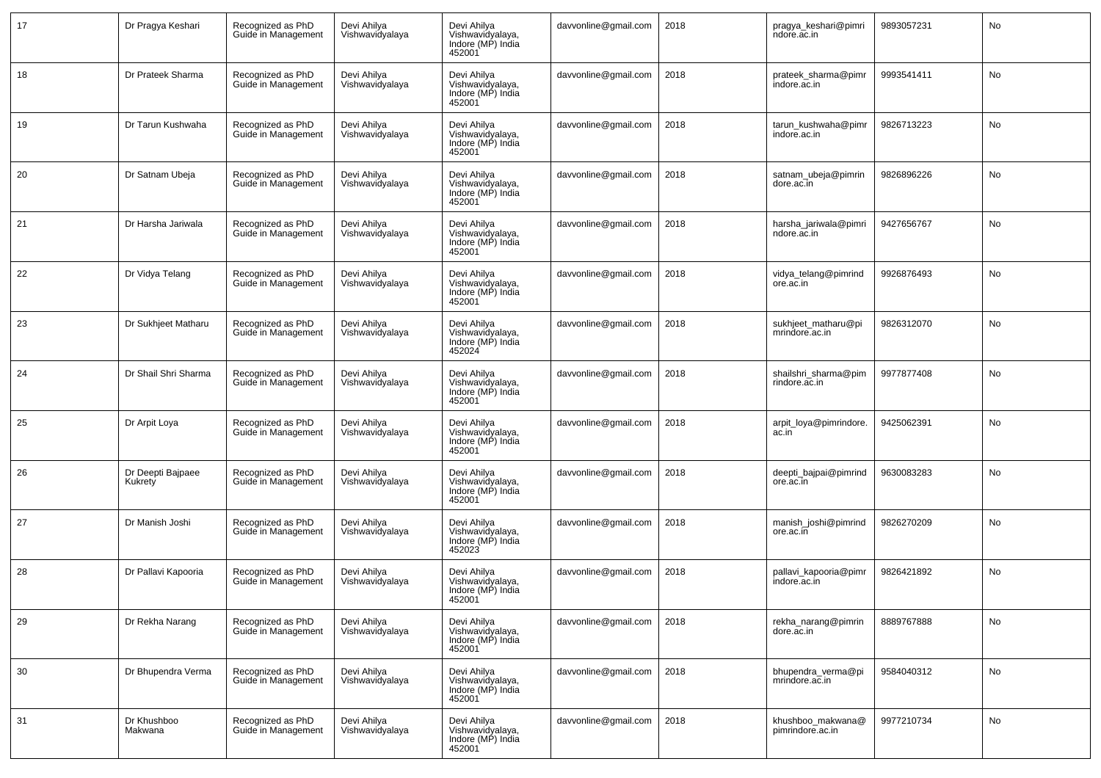| 17 | Dr Pragya Keshari            | Recognized as PhD<br>Guide in Management | Devi Ahilya<br>Vishwavidyalaya | Devi Ahilya<br>Vishwavidyalaya,<br>Indore (MP) India<br>452001 | davvonline@gmail.com | 2018 | pragya_keshari@pimri<br>ndore.ac.in   | 9893057231 | No        |
|----|------------------------------|------------------------------------------|--------------------------------|----------------------------------------------------------------|----------------------|------|---------------------------------------|------------|-----------|
| 18 | Dr Prateek Sharma            | Recognized as PhD<br>Guide in Management | Devi Ahilya<br>Vishwavidyalaya | Devi Ahilya<br>Vishwavidyalaya,<br>Indore (MP) India<br>452001 | davvonline@gmail.com | 2018 | prateek_sharma@pimr<br>indore.ac.in   | 9993541411 | No        |
| 19 | Dr Tarun Kushwaha            | Recognized as PhD<br>Guide in Management | Devi Ahilya<br>Vishwavidyalaya | Devi Ahilya<br>Vishwavidyalaya,<br>Indore (MP) India<br>452001 | davvonline@gmail.com | 2018 | tarun kushwaha@pimr<br>indore.ac.in   | 9826713223 | No        |
| 20 | Dr Satnam Ubeja              | Recognized as PhD<br>Guide in Management | Devi Ahilya<br>Vishwavidyalaya | Devi Ahilya<br>Vishwavidyalaya,<br>Indore (MP) India<br>452001 | davvonline@gmail.com | 2018 | satnam_ubeja@pimrin<br>dore.ac.in     | 9826896226 | No        |
| 21 | Dr Harsha Jariwala           | Recognized as PhD<br>Guide in Management | Devi Ahilya<br>Vishwavidyalaya | Devi Ahilya<br>Vishwavidyalaya,<br>Indore (MP) India<br>452001 | davvonline@gmail.com | 2018 | harsha_jariwala@pimri<br>ndore.ac.in  | 9427656767 | No        |
| 22 | Dr Vidya Telang              | Recognized as PhD<br>Guide in Management | Devi Ahilva<br>Vishwavidyalaya | Devi Ahilya<br>Vishwavidyalaya,<br>Indore (MP) India<br>452001 | davvonline@gmail.com | 2018 | vidya_telang@pimrind<br>ore.ac.in     | 9926876493 | <b>No</b> |
| 23 | Dr Sukhjeet Matharu          | Recognized as PhD<br>Guide in Management | Devi Ahilya<br>Vishwavidyalaya | Devi Ahilya<br>Vishwavidyalaya,<br>Indore (MP) India<br>452024 | davvonline@gmail.com | 2018 | sukhjeet_matharu@pi<br>mrindore.ac.in | 9826312070 | No        |
| 24 | Dr Shail Shri Sharma         | Recognized as PhD<br>Guide in Management | Devi Ahilya<br>Vishwavidyalaya | Devi Ahilya<br>Vishwavidyalaya,<br>Indore (MP) India<br>452001 | davvonline@gmail.com | 2018 | shailshri_sharma@pim<br>rindore.ac.in | 9977877408 | No        |
| 25 | Dr Arpit Loya                | Recognized as PhD<br>Guide in Management | Devi Ahilya<br>Vishwavidyalaya | Devi Ahilya<br>Vishwavidyalaya,<br>Indore (MP) India<br>452001 | davvonline@gmail.com | 2018 | arpit_loya@pimrindore.<br>ac.in       | 9425062391 | No        |
| 26 | Dr Deepti Bajpaee<br>Kukrety | Recognized as PhD<br>Guide in Management | Devi Ahilya<br>Vishwavidyalaya | Devi Ahilya<br>Vishwavidyalaya,<br>Indore (MP) India<br>452001 | davvonline@gmail.com | 2018 | deepti_bajpai@pimrind<br>ore.ac.in    | 9630083283 | No        |
| 27 | Dr Manish Joshi              | Recognized as PhD<br>Guide in Management | Devi Ahilya<br>Vishwavidyalaya | Devi Ahilya<br>Vishwavidyalaya,<br>Indore (MP) India<br>452023 | davvonline@gmail.com | 2018 | manish_joshi@pimrind<br>ore.ac.in     | 9826270209 | No        |
| 28 | Dr Pallavi Kapooria          | Recognized as PhD<br>Guide in Management | Devi Ahilya<br>Vishwavidyalaya | Devi Ahilya<br>Vishwavidyalaya,<br>Indore (MP) India<br>452001 | davvonline@gmail.com | 2018 | pallavi_kapooria@pimr<br>indore.ac.in | 9826421892 | No        |
| 29 | Dr Rekha Narang              | Recognized as PhD<br>Guide in Management | Devi Ahilya<br>Vishwavidyalaya | Devi Ahilya<br>Vishwavidyalaya,<br>Indore (MP) India<br>452001 | davvonline@gmail.com | 2018 | rekha_narang@pimrin<br>dore.ac.in     | 8889767888 | No        |
| 30 | Dr Bhupendra Verma           | Recognized as PhD<br>Guide in Management | Devi Ahilya<br>Vishwavidyalaya | Devi Ahilya<br>Vishwavidyalaya,<br>Indore (MP) India<br>452001 | davvonline@gmail.com | 2018 | bhupendra_verma@pi<br>mrindore.ac.in  | 9584040312 | No        |
| 31 | Dr Khushboo<br>Makwana       | Recognized as PhD<br>Guide in Management | Devi Ahilya<br>Vishwavidyalaya | Devi Ahilya<br>Vishwavidyalaya,<br>Indore (MP) India<br>452001 | davvonline@gmail.com | 2018 | khushboo_makwana@<br>pimrindore.ac.in | 9977210734 | No        |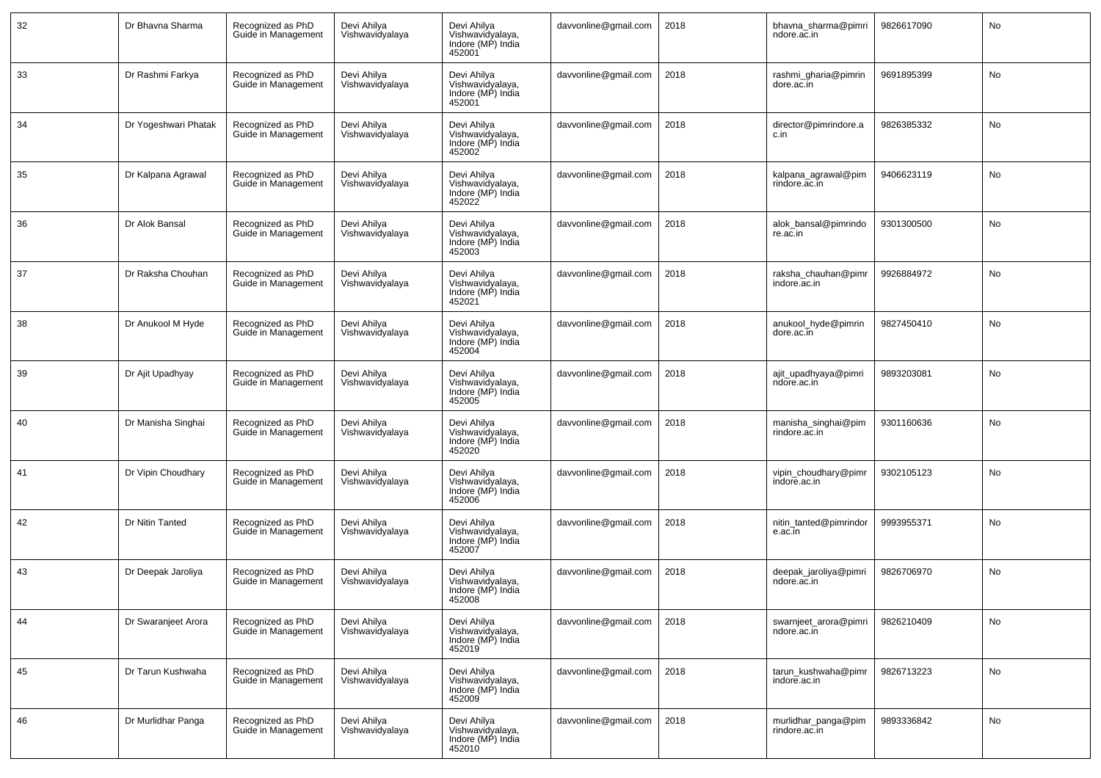| 32 | Dr Bhavna Sharma     | Recognized as PhD<br>Guide in Management | Devi Ahilya<br>Vishwavidyalaya | Devi Ahilya<br>Vishwavidyalaya,<br>Indore (MP) India<br>452001 | davvonline@gmail.com | 2018 | bhavna_sharma@pimri<br>ndore.ac.in   | 9826617090 | No        |
|----|----------------------|------------------------------------------|--------------------------------|----------------------------------------------------------------|----------------------|------|--------------------------------------|------------|-----------|
| 33 | Dr Rashmi Farkya     | Recognized as PhD<br>Guide in Management | Devi Ahilya<br>Vishwavidyalaya | Devi Ahilya<br>Vishwavidyalaya,<br>Indore (MP) India<br>452001 | davvonline@gmail.com | 2018 | rashmi_gharia@pimrin<br>dore.ac.in   | 9691895399 | No        |
| 34 | Dr Yogeshwari Phatak | Recognized as PhD<br>Guide in Management | Devi Ahilya<br>Vishwavidyalaya | Devi Ahilya<br>Vishwavidyalaya,<br>Indore (MP) India<br>452002 | davvonline@gmail.com | 2018 | director@pimrindore.a<br>c.in        | 9826385332 | No        |
| 35 | Dr Kalpana Agrawal   | Recognized as PhD<br>Guide in Management | Devi Ahilya<br>Vishwavidyalaya | Devi Ahilya<br>Vishwavidyalaya,<br>Indore (MP) India<br>452022 | davvonline@gmail.com | 2018 | kalpana_agrawal@pim<br>rindore.ac.in | 9406623119 | No        |
| 36 | Dr Alok Bansal       | Recognized as PhD<br>Guide in Management | Devi Ahilya<br>Vishwavidyalaya | Devi Ahilya<br>Vishwavidyalaya,<br>Indore (MP) India<br>452003 | davvonline@gmail.com | 2018 | alok_bansal@pimrindo<br>re.ac.in     | 9301300500 | No        |
| 37 | Dr Raksha Chouhan    | Recognized as PhD<br>Guide in Management | Devi Ahilya<br>Vishwavidyalaya | Devi Ahilya<br>Vishwavidyalaya,<br>Indore (MP) India<br>452021 | davvonline@gmail.com | 2018 | raksha_chauhan@pimr<br>indore.ac.in  | 9926884972 | No        |
| 38 | Dr Anukool M Hyde    | Recognized as PhD<br>Guide in Management | Devi Ahilya<br>Vishwavidyalaya | Devi Ahilya<br>Vishwavidyalaya,<br>Indore (MP) India<br>452004 | davvonline@gmail.com | 2018 | anukool_hyde@pimrin<br>dore.ac.in    | 9827450410 | <b>No</b> |
| 39 | Dr Ajit Upadhyay     | Recognized as PhD<br>Guide in Management | Devi Ahilya<br>Vishwavidyalaya | Devi Ahilya<br>Vishwavidyalaya,<br>Indore (MP) India<br>452005 | davvonline@gmail.com | 2018 | ajit_upadhyaya@pimri<br>ndore.ac.in  | 9893203081 | No        |
| 40 | Dr Manisha Singhai   | Recognized as PhD<br>Guide in Management | Devi Ahilya<br>Vishwavidyalaya | Devi Ahilya<br>Vishwavidyalaya,<br>Indore (MP) India<br>452020 | davvonline@gmail.com | 2018 | manisha_singhai@pim<br>rindore.ac.in | 9301160636 | No        |
| 41 | Dr Vipin Choudhary   | Recognized as PhD<br>Guide in Management | Devi Ahilya<br>Vishwavidyalaya | Devi Ahilya<br>Vishwavidyalaya,<br>Indore (MP) India<br>452006 | davvonline@gmail.com | 2018 | vipin_choudhary@pimr<br>indore.ac.in | 9302105123 | No        |
| 42 | Dr Nitin Tanted      | Recognized as PhD<br>Guide in Management | Devi Ahilya<br>Vishwavidyalaya | Devi Ahilya<br>Vishwavidyalaya,<br>Indore (MP) India<br>452007 | davvonline@gmail.com | 2018 | nitin tanted@pimrindor<br>e.ac.in    | 9993955371 | No        |
| 43 | Dr Deepak Jaroliya   | Recognized as PhD<br>Guide in Management | Devi Ahilya<br>Vishwavidyalaya | Devi Ahilya<br>Vishwavidyalaya,<br>Indore (MP) India<br>452008 | davvonline@gmail.com | 2018 | deepak_jaroliya@pimri<br>ndore.ac.in | 9826706970 | <b>No</b> |
| 44 | Dr Swaranjeet Arora  | Recognized as PhD<br>Guide in Management | Devi Ahilya<br>Vishwavidyalaya | Devi Ahilya<br>Vishwavidyalaya,<br>Indore (MP) India<br>452019 | davvonline@gmail.com | 2018 | swarnjeet_arora@pimri<br>ndore.ac.in | 9826210409 | No        |
| 45 | Dr Tarun Kushwaha    | Recognized as PhD<br>Guide in Management | Devi Ahilya<br>Vishwavidyalaya | Devi Ahilya<br>Uishwavidyalaya,<br>Indore (MP) India<br>452009 | davvonline@gmail.com | 2018 | tarun_kushwaha@pimr<br>indore.ac.in  | 9826713223 | No        |
| 46 | Dr Murlidhar Panga   | Recognized as PhD<br>Guide in Management | Devi Ahilya<br>Vishwavidyalaya | Devi Ahilya<br>Vishwavidyalaya,<br>Indore (MP) India<br>452010 | davvonline@gmail.com | 2018 | murlidhar_panga@pim<br>rindore.ac.in | 9893336842 | No        |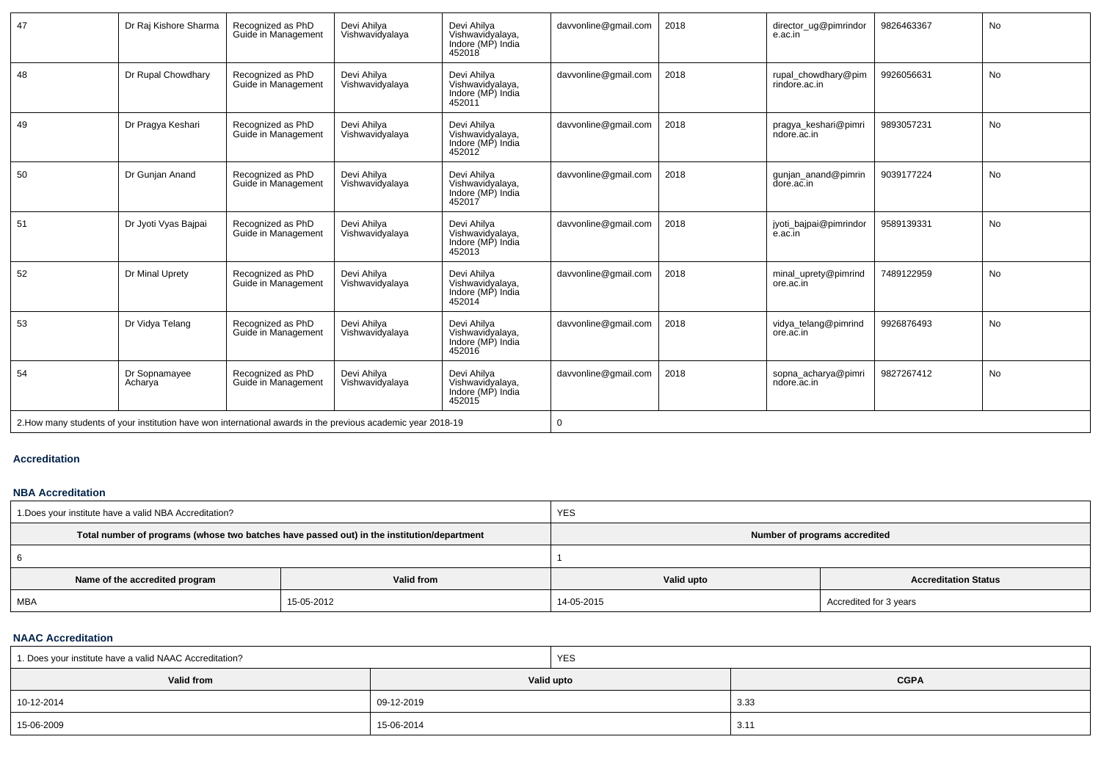| 47 | Dr Raj Kishore Sharma    | Recognized as PhD<br>Guide in Management | Devi Ahilya<br>Vishwavidyalaya                                                                               | Devi Ahilya<br>Vishwavidyalaya,<br>Indore (MP) India<br>452018 | davvonline@gmail.com | 2018 | director ug@pimrindor<br>e.ac.in     | 9826463367 | <b>No</b> |
|----|--------------------------|------------------------------------------|--------------------------------------------------------------------------------------------------------------|----------------------------------------------------------------|----------------------|------|--------------------------------------|------------|-----------|
| 48 | Dr Rupal Chowdhary       | Recognized as PhD<br>Guide in Management | Devi Ahilya<br>Vishwavidyalaya                                                                               | Devi Ahilya<br>Vishwavidyalaya,<br>Indore (MP) India<br>452011 | davvonline@gmail.com | 2018 | rupal_chowdhary@pim<br>rindore.ac.in | 9926056631 | <b>No</b> |
| 49 | Dr Pragya Keshari        | Recognized as PhD<br>Guide in Management | Devi Ahilya<br>Vishwavidyalaya                                                                               | Devi Ahilya<br>Vishwavidyalaya,<br>Indore (MP) India<br>452012 | davvonline@gmail.com | 2018 | pragya keshari@pimri<br>ndore.ac.in  | 9893057231 | <b>No</b> |
| 50 | Dr Gunian Anand          | Recognized as PhD<br>Guide in Management | Devi Ahilva<br>Vishwavidyalaya                                                                               | Devi Ahilva<br>Vishwavidyalaya,<br>Indore (MP) India<br>452017 | davvonline@gmail.com | 2018 | gunjan_anand@pimrin<br>dore.ac.in    | 9039177224 | <b>No</b> |
| 51 | Dr Jyoti Vyas Bajpai     | Recognized as PhD<br>Guide in Management | Devi Ahilya<br>Vishwavidyalaya                                                                               | Devi Ahilya<br>Vishwavidvalava.<br>Indore (MP) India<br>452013 | davvonline@gmail.com | 2018 | jyoti_bajpai@pimrindor<br>e.ac.in    | 9589139331 | <b>No</b> |
| 52 | Dr Minal Uprety          | Recognized as PhD<br>Guide in Management | Devi Ahilva<br>Vishwavidyalaya                                                                               | Devi Ahilya<br>Vishwavidyalaya,<br>Indore (MP) India<br>452014 | davvonline@gmail.com | 2018 | minal uprety@pimrind<br>ore.ac.in    | 7489122959 | No        |
| 53 | Dr Vidya Telang          | Recognized as PhD<br>Guide in Management | Devi Ahilva<br>Vishwavidyalaya                                                                               | Devi Ahilva<br>Vishwavidyalaya,<br>Indore (MP) India<br>452016 | davvonline@gmail.com | 2018 | vidya_telang@pimrind<br>ore.ac.in    | 9926876493 | <b>No</b> |
| 54 | Dr Sopnamayee<br>Acharya | Recognized as PhD<br>Guide in Management | Devi Ahilya<br>Vishwavidyalaya                                                                               | Devi Ahilya<br>Vishwavidyalaya,<br>Indore (MP) India<br>452015 | davvonline@gmail.com | 2018 | sopna acharya@pimri<br>ndore.ac.in   | 9827267412 | No        |
|    |                          |                                          | 2. How many students of your institution have won international awards in the previous academic year 2018-19 |                                                                | $\Omega$             |      |                                      |            |           |

## **Accreditation**

#### **NBA Accreditation**

| 1. Does your institute have a valid NBA Accreditation? |                                                                                            | <b>YES</b>                    |                             |  |  |  |
|--------------------------------------------------------|--------------------------------------------------------------------------------------------|-------------------------------|-----------------------------|--|--|--|
|                                                        | Total number of programs (whose two batches have passed out) in the institution/department | Number of programs accredited |                             |  |  |  |
|                                                        |                                                                                            |                               |                             |  |  |  |
| Name of the accredited program                         | Valid from                                                                                 | Valid upto                    | <b>Accreditation Status</b> |  |  |  |
| MBA                                                    | 15-05-2012                                                                                 | 14-05-2015                    | Accredited for 3 years      |  |  |  |

#### **NAAC Accreditation**

| 1. Does your institute have a valid NAAC Accreditation? |            | <b>YES</b> |             |
|---------------------------------------------------------|------------|------------|-------------|
| Valid from                                              |            | Valid upto | <b>CGPA</b> |
| 10-12-2014                                              | 09-12-2019 |            | 3.33        |
| 15-06-2009                                              | 15-06-2014 |            | 3.11        |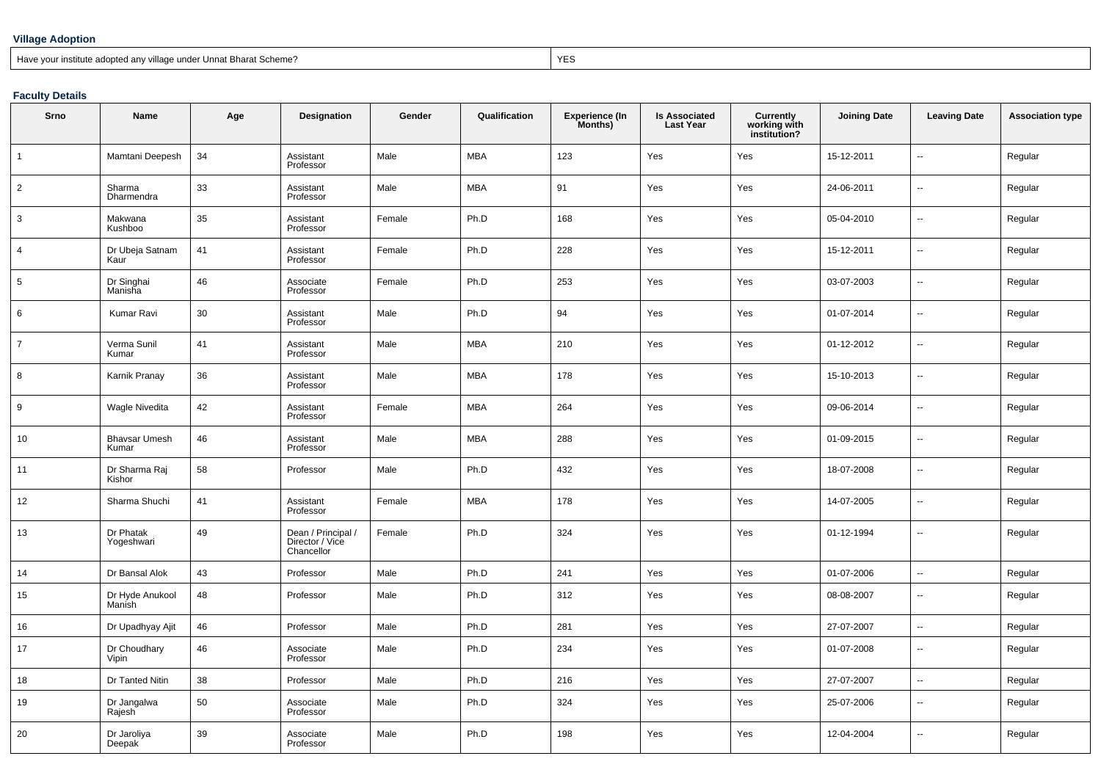## **Village Adoption**

Have your institute adopted any village under Unnat Bharat Scheme?

extending the contract of the contract of the contract of the contract of the contract of the contract of the contract of the contract of the contract of the contract of the contract of the contract of the contract of the

## **Faculty Details**

| Srno           | <b>Name</b>                   | Age | <b>Designation</b>                                  | Gender | Qualification | <b>Experience (In</b><br>Months) | <b>Is Associated</b><br><b>Last Year</b> | Currently<br>working with<br>institution? | <b>Joining Date</b> | <b>Leaving Date</b>      | <b>Association type</b> |
|----------------|-------------------------------|-----|-----------------------------------------------------|--------|---------------|----------------------------------|------------------------------------------|-------------------------------------------|---------------------|--------------------------|-------------------------|
| $\mathbf{1}$   | Mamtani Deepesh               | 34  | Assistant<br>Professor                              | Male   | <b>MBA</b>    | 123                              | Yes                                      | Yes                                       | 15-12-2011          | ц.                       | Regular                 |
| $\overline{2}$ | Sharma<br>Dharmendra          | 33  | Assistant<br>Professor                              | Male   | <b>MBA</b>    | 91                               | Yes                                      | Yes                                       | 24-06-2011          | $\overline{\phantom{a}}$ | Regular                 |
| 3              | Makwana<br>Kushboo            | 35  | Assistant<br>Professor                              | Female | Ph.D          | 168                              | Yes                                      | Yes                                       | 05-04-2010          | $\overline{\phantom{a}}$ | Regular                 |
| $\overline{4}$ | Dr Ubeja Satnam<br>Kaur       | 41  | Assistant<br>Professor                              | Female | Ph.D          | 228                              | Yes                                      | Yes                                       | 15-12-2011          | $\overline{\phantom{a}}$ | Regular                 |
| 5              | Dr Singhai<br>Manisha         | 46  | Associate<br>Professor                              | Female | Ph.D          | 253                              | Yes                                      | Yes                                       | 03-07-2003          | $\overline{\phantom{a}}$ | Regular                 |
| 6              | Kumar Ravi                    | 30  | Assistant<br>Professor                              | Male   | Ph.D          | 94                               | Yes                                      | Yes                                       | 01-07-2014          | $\overline{\phantom{a}}$ | Regular                 |
| $\overline{7}$ | Verma Sunil<br>Kumar          | 41  | Assistant<br>Professor                              | Male   | <b>MBA</b>    | 210                              | Yes                                      | Yes                                       | 01-12-2012          | $\ddot{\phantom{a}}$     | Regular                 |
| 8              | Karnik Pranay                 | 36  | Assistant<br>Professor                              | Male   | <b>MBA</b>    | 178                              | Yes                                      | Yes                                       | 15-10-2013          | $\overline{\phantom{a}}$ | Regular                 |
| 9              | <b>Wagle Nivedita</b>         | 42  | Assistant<br>Professor                              | Female | <b>MBA</b>    | 264                              | Yes                                      | Yes                                       | 09-06-2014          | $\overline{\phantom{a}}$ | Regular                 |
| 10             | <b>Bhavsar Umesh</b><br>Kumar | 46  | Assistant<br>Professor                              | Male   | <b>MBA</b>    | 288                              | Yes                                      | Yes                                       | 01-09-2015          | $\overline{\phantom{a}}$ | Regular                 |
| 11             | Dr Sharma Raj<br>Kishor       | 58  | Professor                                           | Male   | Ph.D          | 432                              | Yes                                      | Yes                                       | 18-07-2008          | $\overline{\phantom{a}}$ | Regular                 |
| 12             | Sharma Shuchi                 | 41  | Assistant<br>Professor                              | Female | <b>MBA</b>    | 178                              | Yes                                      | Yes                                       | 14-07-2005          | $\sim$                   | Regular                 |
| 13             | Dr Phatak<br>Yogeshwari       | 49  | Dean / Principal /<br>Director / Vice<br>Chancellor | Female | Ph.D          | 324                              | Yes                                      | Yes                                       | 01-12-1994          | $\overline{\phantom{a}}$ | Regular                 |
| 14             | Dr Bansal Alok                | 43  | Professor                                           | Male   | Ph.D          | 241                              | Yes                                      | Yes                                       | 01-07-2006          | $\overline{\phantom{a}}$ | Regular                 |
| 15             | Dr Hyde Anukool<br>Manish     | 48  | Professor                                           | Male   | Ph.D          | 312                              | Yes                                      | Yes                                       | 08-08-2007          | $\overline{\phantom{a}}$ | Regular                 |
| 16             | Dr Upadhyay Ajit              | 46  | Professor                                           | Male   | Ph.D          | 281                              | Yes                                      | Yes                                       | 27-07-2007          | $\overline{\phantom{a}}$ | Regular                 |
| 17             | Dr Choudhary<br>Vipin         | 46  | Associate<br>Professor                              | Male   | Ph.D          | 234                              | Yes                                      | Yes                                       | 01-07-2008          | $\overline{\phantom{a}}$ | Regular                 |
| 18             | Dr Tanted Nitin               | 38  | Professor                                           | Male   | Ph.D          | 216                              | Yes                                      | Yes                                       | 27-07-2007          | $\sim$                   | Regular                 |
| 19             | Dr Jangalwa<br>Rajesh         | 50  | Associate<br>Professor                              | Male   | Ph.D          | 324                              | Yes                                      | Yes                                       | 25-07-2006          | $\overline{\phantom{a}}$ | Regular                 |
| 20             | Dr Jaroliya<br>Deepak         | 39  | Associate<br>Professor                              | Male   | Ph.D          | 198                              | Yes                                      | Yes                                       | 12-04-2004          | $\overline{\phantom{a}}$ | Regular                 |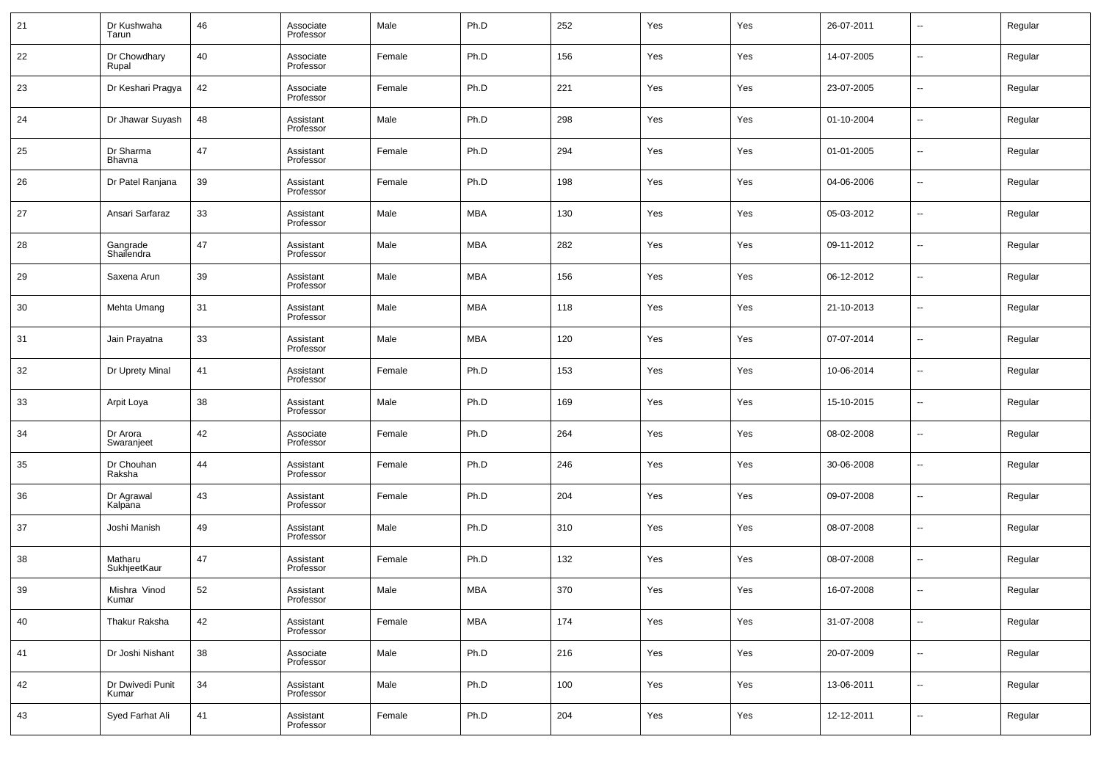| 21 | Dr Kushwaha<br>Tarun      | 46 | Associate<br>Professor | Male   | Ph.D       | 252 | Yes | Yes | 26-07-2011 | --                       | Regular |
|----|---------------------------|----|------------------------|--------|------------|-----|-----|-----|------------|--------------------------|---------|
| 22 | Dr Chowdhary<br>Rupal     | 40 | Associate<br>Professor | Female | Ph.D       | 156 | Yes | Yes | 14-07-2005 | $\sim$                   | Regular |
| 23 | Dr Keshari Pragya         | 42 | Associate<br>Professor | Female | Ph.D       | 221 | Yes | Yes | 23-07-2005 | ш.                       | Regular |
| 24 | Dr Jhawar Suyash          | 48 | Assistant<br>Professor | Male   | Ph.D       | 298 | Yes | Yes | 01-10-2004 | $\sim$                   | Regular |
| 25 | Dr Sharma<br>Bhavna       | 47 | Assistant<br>Professor | Female | Ph.D       | 294 | Yes | Yes | 01-01-2005 | ш.                       | Regular |
| 26 | Dr Patel Ranjana          | 39 | Assistant<br>Professor | Female | Ph.D       | 198 | Yes | Yes | 04-06-2006 | $\sim$                   | Regular |
| 27 | Ansari Sarfaraz           | 33 | Assistant<br>Professor | Male   | MBA        | 130 | Yes | Yes | 05-03-2012 | ш.                       | Regular |
| 28 | Gangrade<br>Shailendra    | 47 | Assistant<br>Professor | Male   | <b>MBA</b> | 282 | Yes | Yes | 09-11-2012 | $\sim$                   | Regular |
| 29 | Saxena Arun               | 39 | Assistant<br>Professor | Male   | MBA        | 156 | Yes | Yes | 06-12-2012 | ш.                       | Regular |
| 30 | Mehta Umang               | 31 | Assistant<br>Professor | Male   | <b>MBA</b> | 118 | Yes | Yes | 21-10-2013 | $\sim$                   | Regular |
| 31 | Jain Prayatna             | 33 | Assistant<br>Professor | Male   | MBA        | 120 | Yes | Yes | 07-07-2014 | --                       | Regular |
| 32 | Dr Uprety Minal           | 41 | Assistant<br>Professor | Female | Ph.D       | 153 | Yes | Yes | 10-06-2014 | $\sim$                   | Regular |
| 33 | Arpit Loya                | 38 | Assistant<br>Professor | Male   | Ph.D       | 169 | Yes | Yes | 15-10-2015 | ш.                       | Regular |
| 34 | Dr Arora<br>Swaranjeet    | 42 | Associate<br>Professor | Female | Ph.D       | 264 | Yes | Yes | 08-02-2008 | $\sim$                   | Regular |
| 35 | Dr Chouhan<br>Raksha      | 44 | Assistant<br>Professor | Female | Ph.D       | 246 | Yes | Yes | 30-06-2008 | --                       | Regular |
| 36 | Dr Agrawal<br>Kalpana     | 43 | Assistant<br>Professor | Female | Ph.D       | 204 | Yes | Yes | 09-07-2008 | $\sim$                   | Regular |
| 37 | Joshi Manish              | 49 | Assistant<br>Professor | Male   | Ph.D       | 310 | Yes | Yes | 08-07-2008 | --                       | Regular |
| 38 | Matharu<br>SukhjeetKaur   | 47 | Assistant<br>Professor | Female | Ph.D       | 132 | Yes | Yes | 08-07-2008 | --                       | Regular |
| 39 | Mishra Vinod<br>Kumar     | 52 | Assistant<br>Professor | Male   | MBA        | 370 | Yes | Yes | 16-07-2008 | $\overline{a}$           | Regular |
| 40 | Thakur Raksha             | 42 | Assistant<br>Professor | Female | <b>MBA</b> | 174 | Yes | Yes | 31-07-2008 | $\overline{\phantom{a}}$ | Regular |
| 41 | Dr Joshi Nishant          | 38 | Associate<br>Professor | Male   | Ph.D       | 216 | Yes | Yes | 20-07-2009 | $\overline{\phantom{a}}$ | Regular |
| 42 | Dr Dwivedi Punit<br>Kumar | 34 | Assistant<br>Professor | Male   | Ph.D       | 100 | Yes | Yes | 13-06-2011 | $\overline{\phantom{a}}$ | Regular |
| 43 | Syed Farhat Ali           | 41 | Assistant<br>Professor | Female | Ph.D       | 204 | Yes | Yes | 12-12-2011 | $\overline{\phantom{a}}$ | Regular |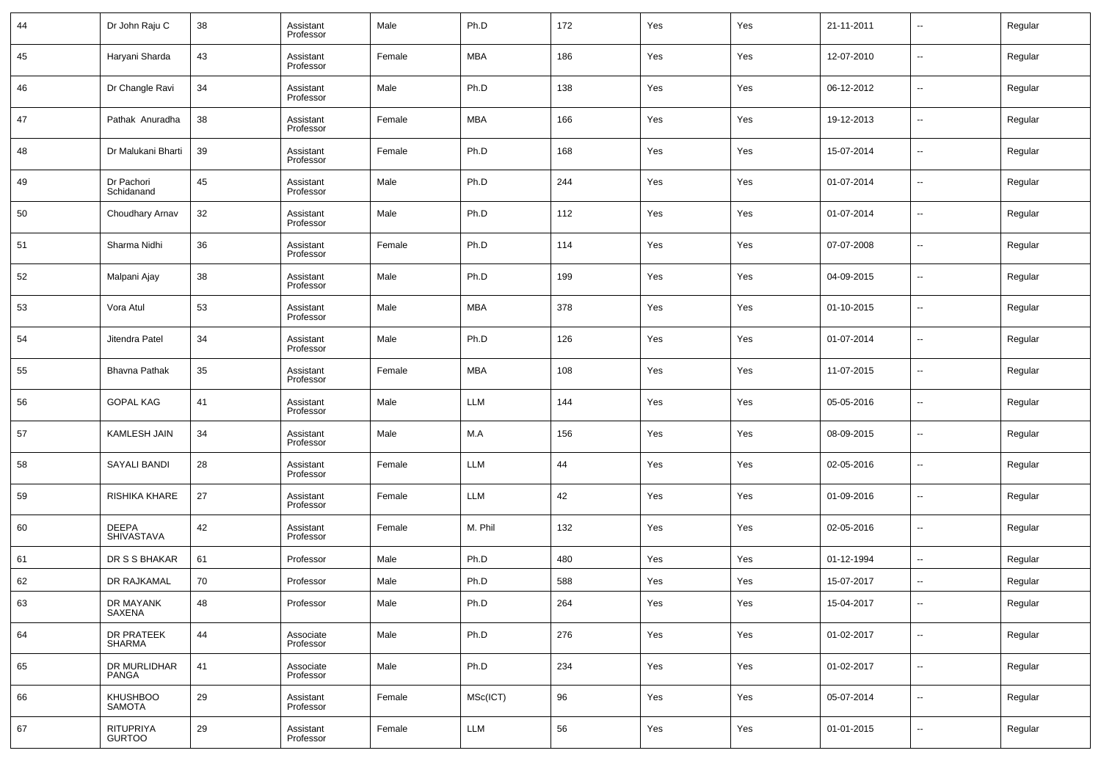| 44 | Dr John Raju C                    | 38 | Assistant<br>Professor | Male   | Ph.D       | 172 | Yes | Yes | 21-11-2011 | --                       | Regular |
|----|-----------------------------------|----|------------------------|--------|------------|-----|-----|-----|------------|--------------------------|---------|
| 45 | Haryani Sharda                    | 43 | Assistant<br>Professor | Female | MBA        | 186 | Yes | Yes | 12-07-2010 | --                       | Regular |
| 46 | Dr Changle Ravi                   | 34 | Assistant<br>Professor | Male   | Ph.D       | 138 | Yes | Yes | 06-12-2012 | --                       | Regular |
| 47 | Pathak Anuradha                   | 38 | Assistant<br>Professor | Female | MBA        | 166 | Yes | Yes | 19-12-2013 | --                       | Regular |
| 48 | Dr Malukani Bharti                | 39 | Assistant<br>Professor | Female | Ph.D       | 168 | Yes | Yes | 15-07-2014 | --                       | Regular |
| 49 | Dr Pachori<br>Schidanand          | 45 | Assistant<br>Professor | Male   | Ph.D       | 244 | Yes | Yes | 01-07-2014 | --                       | Regular |
| 50 | Choudhary Arnav                   | 32 | Assistant<br>Professor | Male   | Ph.D       | 112 | Yes | Yes | 01-07-2014 | --                       | Regular |
| 51 | Sharma Nidhi                      | 36 | Assistant<br>Professor | Female | Ph.D       | 114 | Yes | Yes | 07-07-2008 | --                       | Regular |
| 52 | Malpani Ajay                      | 38 | Assistant<br>Professor | Male   | Ph.D       | 199 | Yes | Yes | 04-09-2015 | --                       | Regular |
| 53 | Vora Atul                         | 53 | Assistant<br>Professor | Male   | MBA        | 378 | Yes | Yes | 01-10-2015 | --                       | Regular |
| 54 | Jitendra Patel                    | 34 | Assistant<br>Professor | Male   | Ph.D       | 126 | Yes | Yes | 01-07-2014 | --                       | Regular |
| 55 | <b>Bhavna Pathak</b>              | 35 | Assistant<br>Professor | Female | MBA        | 108 | Yes | Yes | 11-07-2015 | --                       | Regular |
| 56 | <b>GOPAL KAG</b>                  | 41 | Assistant<br>Professor | Male   | LLM        | 144 | Yes | Yes | 05-05-2016 | --                       | Regular |
| 57 | <b>KAMLESH JAIN</b>               | 34 | Assistant<br>Professor | Male   | M.A        | 156 | Yes | Yes | 08-09-2015 | --                       | Regular |
| 58 | <b>SAYALI BANDI</b>               | 28 | Assistant<br>Professor | Female | LLM        | 44  | Yes | Yes | 02-05-2016 | --                       | Regular |
| 59 | RISHIKA KHARE                     | 27 | Assistant<br>Professor | Female | LLM        | 42  | Yes | Yes | 01-09-2016 | --                       | Regular |
| 60 | <b>DEEPA</b><br><b>SHIVASTAVA</b> | 42 | Assistant<br>Professor | Female | M. Phil    | 132 | Yes | Yes | 02-05-2016 | --                       | Regular |
| 61 | DR S S BHAKAR                     | 61 | Professor              | Male   | Ph.D       | 480 | Yes | Yes | 01-12-1994 | --                       | Regular |
| 62 | DR RAJKAMAL                       | 70 | Professor              | Male   | Ph.D       | 588 | Yes | Yes | 15-07-2017 | --                       | Regular |
| 63 | DR MAYANK<br>SAXENA               | 48 | Professor              | Male   | Ph.D       | 264 | Yes | Yes | 15-04-2017 | $\overline{\phantom{a}}$ | Regular |
| 64 | DR PRATEEK<br>SHARMA              | 44 | Associate<br>Professor | Male   | Ph.D       | 276 | Yes | Yes | 01-02-2017 | $\sim$                   | Regular |
| 65 | DR MURLIDHAR<br><b>PANGA</b>      | 41 | Associate<br>Professor | Male   | Ph.D       | 234 | Yes | Yes | 01-02-2017 | $\sim$                   | Regular |
| 66 | KHUSHBOO<br>SAMOTA                | 29 | Assistant<br>Professor | Female | MSc(ICT)   | 96  | Yes | Yes | 05-07-2014 | $\sim$                   | Regular |
| 67 | <b>RITUPRIYA</b><br><b>GURTOO</b> | 29 | Assistant<br>Professor | Female | <b>LLM</b> | 56  | Yes | Yes | 01-01-2015 | $\sim$                   | Regular |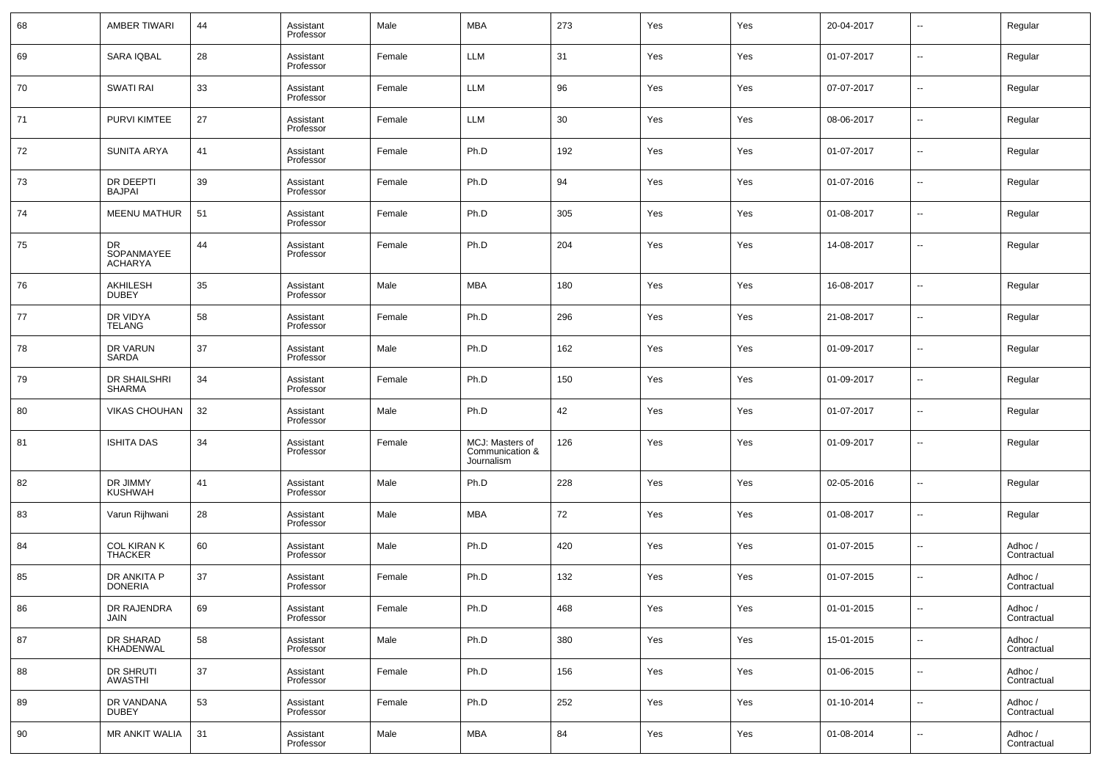| 68 | <b>AMBER TIWARI</b>                  | 44 | Assistant<br>Professor | Male   | <b>MBA</b>                                       | 273 | Yes | Yes | 20-04-2017 | $\sim$                   | Regular                |
|----|--------------------------------------|----|------------------------|--------|--------------------------------------------------|-----|-----|-----|------------|--------------------------|------------------------|
| 69 | SARA IQBAL                           | 28 | Assistant<br>Professor | Female | LLM                                              | 31  | Yes | Yes | 01-07-2017 | $\sim$                   | Regular                |
| 70 | <b>SWATI RAI</b>                     | 33 | Assistant<br>Professor | Female | LLM                                              | 96  | Yes | Yes | 07-07-2017 | $\overline{\phantom{a}}$ | Regular                |
| 71 | PURVI KIMTEE                         | 27 | Assistant<br>Professor | Female | LLM                                              | 30  | Yes | Yes | 08-06-2017 | $\overline{\phantom{a}}$ | Regular                |
| 72 | <b>SUNITA ARYA</b>                   | 41 | Assistant<br>Professor | Female | Ph.D                                             | 192 | Yes | Yes | 01-07-2017 | $\overline{\phantom{a}}$ | Regular                |
| 73 | DR DEEPTI<br><b>BAJPAI</b>           | 39 | Assistant<br>Professor | Female | Ph.D                                             | 94  | Yes | Yes | 01-07-2016 | $\overline{\phantom{a}}$ | Regular                |
| 74 | <b>MEENU MATHUR</b>                  | 51 | Assistant<br>Professor | Female | Ph.D                                             | 305 | Yes | Yes | 01-08-2017 | ш,                       | Regular                |
| 75 | DR<br>SOPANMAYEE<br><b>ACHARYA</b>   | 44 | Assistant<br>Professor | Female | Ph.D                                             | 204 | Yes | Yes | 14-08-2017 | $\overline{\phantom{a}}$ | Regular                |
| 76 | AKHILESH<br><b>DUBEY</b>             | 35 | Assistant<br>Professor | Male   | MBA                                              | 180 | Yes | Yes | 16-08-2017 | --                       | Regular                |
| 77 | DR VIDYA<br><b>TELANG</b>            | 58 | Assistant<br>Professor | Female | Ph.D                                             | 296 | Yes | Yes | 21-08-2017 | --                       | Regular                |
| 78 | DR VARUN<br>SARDA                    | 37 | Assistant<br>Professor | Male   | Ph.D                                             | 162 | Yes | Yes | 01-09-2017 | --                       | Regular                |
| 79 | DR SHAILSHRI<br><b>SHARMA</b>        | 34 | Assistant<br>Professor | Female | Ph.D                                             | 150 | Yes | Yes | 01-09-2017 | --                       | Regular                |
| 80 | <b>VIKAS CHOUHAN</b>                 | 32 | Assistant<br>Professor | Male   | Ph.D                                             | 42  | Yes | Yes | 01-07-2017 | --                       | Regular                |
| 81 | <b>ISHITA DAS</b>                    | 34 | Assistant<br>Professor | Female | MCJ: Masters of<br>Communication &<br>Journalism | 126 | Yes | Yes | 01-09-2017 | --                       | Regular                |
| 82 | DR JIMMY<br><b>KUSHWAH</b>           | 41 | Assistant<br>Professor | Male   | Ph.D                                             | 228 | Yes | Yes | 02-05-2016 | --                       | Regular                |
| 83 | Varun Rijhwani                       | 28 | Assistant<br>Professor | Male   | <b>MBA</b>                                       | 72  | Yes | Yes | 01-08-2017 | $\overline{a}$           | Regular                |
| 84 | <b>COL KIRAN K</b><br><b>THACKER</b> | 60 | Assistant<br>Professor | Male   | Ph.D                                             | 420 | Yes | Yes | 01-07-2015 | --                       | Adhoc /<br>Contractual |
| 85 | DR ANKITA P<br><b>DONERIA</b>        | 37 | Assistant<br>Professor | Female | Ph.D                                             | 132 | Yes | Yes | 01-07-2015 | $\overline{a}$           | Adhoc /<br>Contractual |
| 86 | DR RAJENDRA<br>JAIN                  | 69 | Assistant<br>Professor | Female | Ph.D                                             | 468 | Yes | Yes | 01-01-2015 | $\sim$                   | Adhoc /<br>Contractual |
| 87 | DR SHARAD<br>KHADENWAL               | 58 | Assistant<br>Professor | Male   | Ph.D                                             | 380 | Yes | Yes | 15-01-2015 | $\sim$                   | Adhoc /<br>Contractual |
| 88 | DR SHRUTI<br><b>AWASTHI</b>          | 37 | Assistant<br>Professor | Female | Ph.D                                             | 156 | Yes | Yes | 01-06-2015 | $\sim$                   | Adhoc /<br>Contractual |
| 89 | DR VANDANA<br><b>DUBEY</b>           | 53 | Assistant<br>Professor | Female | Ph.D                                             | 252 | Yes | Yes | 01-10-2014 | $\sim$                   | Adhoc /<br>Contractual |
| 90 | MR ANKIT WALIA                       | 31 | Assistant<br>Professor | Male   | MBA                                              | 84  | Yes | Yes | 01-08-2014 | $\sim$                   | Adhoc /<br>Contractual |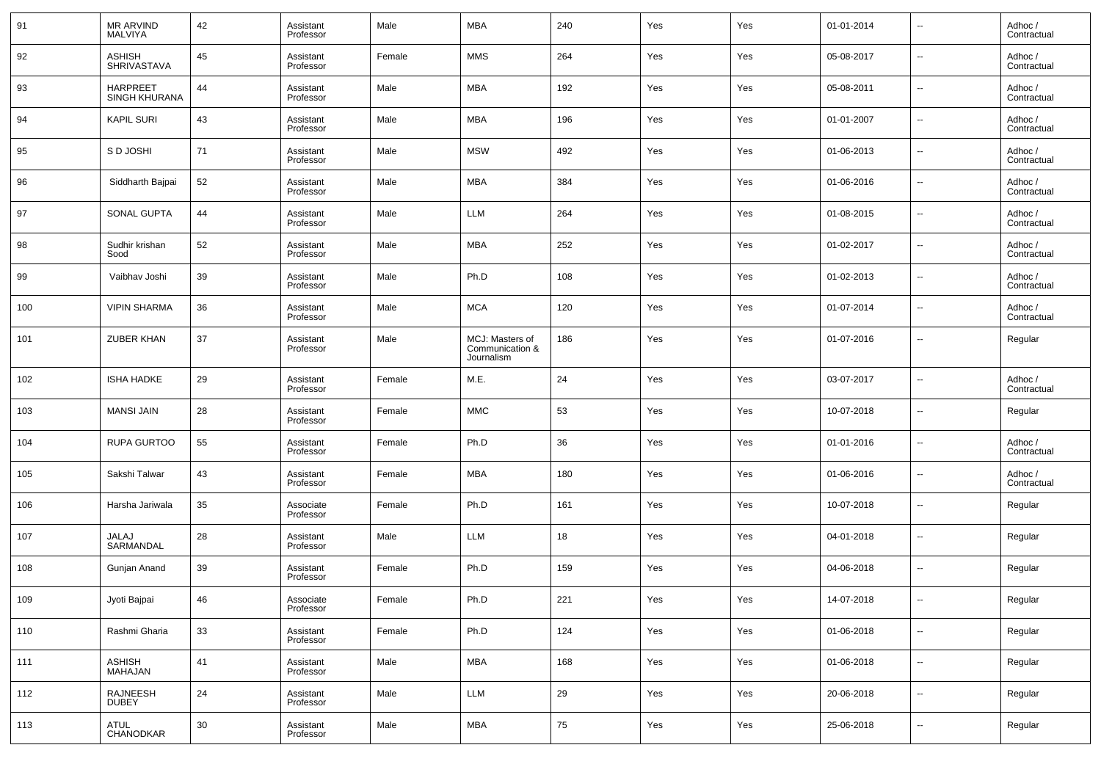| 91  | MR ARVIND<br><b>MALVIYA</b>         | 42 | Assistant<br>Professor | Male   | MBA                                              | 240 | Yes | Yes | 01-01-2014 | $\overline{\phantom{a}}$ | Adhoc /<br>Contractual |
|-----|-------------------------------------|----|------------------------|--------|--------------------------------------------------|-----|-----|-----|------------|--------------------------|------------------------|
| 92  | <b>ASHISH</b><br><b>SHRIVASTAVA</b> | 45 | Assistant<br>Professor | Female | <b>MMS</b>                                       | 264 | Yes | Yes | 05-08-2017 | $\overline{\phantom{a}}$ | Adhoc /<br>Contractual |
| 93  | <b>HARPREET</b><br>SINGH KHURANA    | 44 | Assistant<br>Professor | Male   | MBA                                              | 192 | Yes | Yes | 05-08-2011 | $\overline{\phantom{a}}$ | Adhoc /<br>Contractual |
| 94  | <b>KAPIL SURI</b>                   | 43 | Assistant<br>Professor | Male   | <b>MBA</b>                                       | 196 | Yes | Yes | 01-01-2007 | $\overline{\phantom{a}}$ | Adhoc /<br>Contractual |
| 95  | S D JOSHI                           | 71 | Assistant<br>Professor | Male   | <b>MSW</b>                                       | 492 | Yes | Yes | 01-06-2013 | $\overline{\phantom{a}}$ | Adhoc /<br>Contractual |
| 96  | Siddharth Bajpai                    | 52 | Assistant<br>Professor | Male   | MBA                                              | 384 | Yes | Yes | 01-06-2016 | $\overline{\phantom{a}}$ | Adhoc /<br>Contractual |
| 97  | SONAL GUPTA                         | 44 | Assistant<br>Professor | Male   | <b>LLM</b>                                       | 264 | Yes | Yes | 01-08-2015 | $\overline{\phantom{a}}$ | Adhoc /<br>Contractual |
| 98  | Sudhir krishan<br>Sood              | 52 | Assistant<br>Professor | Male   | MBA                                              | 252 | Yes | Yes | 01-02-2017 | $\overline{\phantom{a}}$ | Adhoc /<br>Contractual |
| 99  | Vaibhav Joshi                       | 39 | Assistant<br>Professor | Male   | Ph.D                                             | 108 | Yes | Yes | 01-02-2013 | $\overline{\phantom{a}}$ | Adhoc /<br>Contractual |
| 100 | <b>VIPIN SHARMA</b>                 | 36 | Assistant<br>Professor | Male   | <b>MCA</b>                                       | 120 | Yes | Yes | 01-07-2014 | $\overline{\phantom{a}}$ | Adhoc /<br>Contractual |
| 101 | <b>ZUBER KHAN</b>                   | 37 | Assistant<br>Professor | Male   | MCJ: Masters of<br>Communication &<br>Journalism | 186 | Yes | Yes | 01-07-2016 | $\overline{\phantom{a}}$ | Regular                |
| 102 | <b>ISHA HADKE</b>                   | 29 | Assistant<br>Professor | Female | M.E.                                             | 24  | Yes | Yes | 03-07-2017 | $\sim$                   | Adhoc /<br>Contractual |
| 103 | <b>MANSI JAIN</b>                   | 28 | Assistant<br>Professor | Female | <b>MMC</b>                                       | 53  | Yes | Yes | 10-07-2018 | $\sim$                   | Regular                |
| 104 | RUPA GURTOO                         | 55 | Assistant<br>Professor | Female | Ph.D                                             | 36  | Yes | Yes | 01-01-2016 | --                       | Adhoc /<br>Contractual |
| 105 | Sakshi Talwar                       | 43 | Assistant<br>Professor | Female | MBA                                              | 180 | Yes | Yes | 01-06-2016 | $\overline{\phantom{a}}$ | Adhoc /<br>Contractual |
| 106 | Harsha Jariwala                     | 35 | Associate<br>Professor | Female | Ph.D                                             | 161 | Yes | Yes | 10-07-2018 | $\sim$                   | Regular                |
| 107 | <b>JALAJ</b><br>SARMANDAL           | 28 | Assistant<br>Professor | Male   | <b>LLM</b>                                       | 18  | Yes | Yes | 04-01-2018 | $\overline{\phantom{a}}$ | Regular                |
| 108 | Gunjan Anand                        | 39 | Assistant<br>Professor | Female | Ph.D                                             | 159 | Yes | Yes | 04-06-2018 | $\overline{\phantom{a}}$ | Regular                |
| 109 | Jyoti Bajpai                        | 46 | Associate<br>Professor | Female | Ph.D                                             | 221 | Yes | Yes | 14-07-2018 |                          | Regular                |
| 110 | Rashmi Gharia                       | 33 | Assistant<br>Professor | Female | Ph.D                                             | 124 | Yes | Yes | 01-06-2018 | $\overline{\phantom{a}}$ | Regular                |
| 111 | ASHISH<br>MAHAJAN                   | 41 | Assistant<br>Professor | Male   | MBA                                              | 168 | Yes | Yes | 01-06-2018 | $\overline{\phantom{a}}$ | Regular                |
| 112 | RAJNEESH<br>DUBEY                   | 24 | Assistant<br>Professor | Male   | LLM                                              | 29  | Yes | Yes | 20-06-2018 | $\overline{\phantom{a}}$ | Regular                |
| 113 | ATUL<br>CHANODKAR                   | 30 | Assistant<br>Professor | Male   | MBA                                              | 75  | Yes | Yes | 25-06-2018 | $\overline{\phantom{a}}$ | Regular                |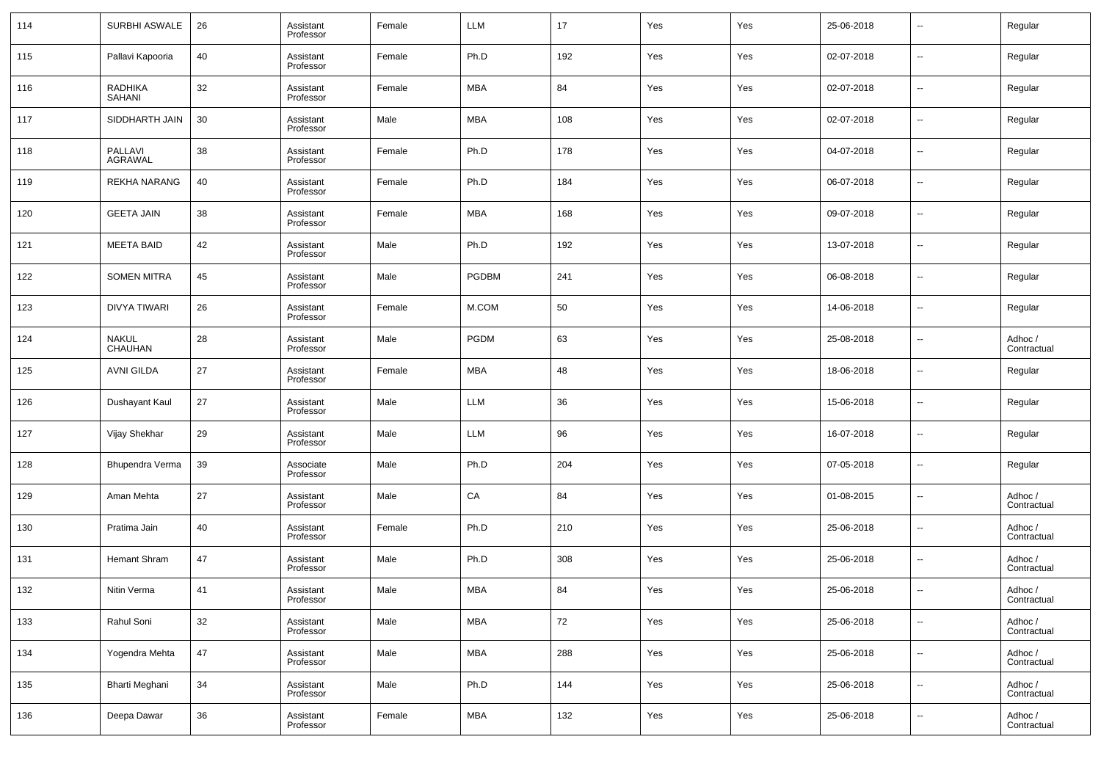| 114 | SURBHI ASWALE                   | 26 | Assistant<br>Professor | Female | LLM          | 17  | Yes | Yes | 25-06-2018 | $\overline{\phantom{a}}$ | Regular                |
|-----|---------------------------------|----|------------------------|--------|--------------|-----|-----|-----|------------|--------------------------|------------------------|
| 115 | Pallavi Kapooria                | 40 | Assistant<br>Professor | Female | Ph.D         | 192 | Yes | Yes | 02-07-2018 | $\overline{\phantom{a}}$ | Regular                |
| 116 | <b>RADHIKA</b><br><b>SAHANI</b> | 32 | Assistant<br>Professor | Female | MBA          | 84  | Yes | Yes | 02-07-2018 | $\overline{\phantom{a}}$ | Regular                |
| 117 | SIDDHARTH JAIN                  | 30 | Assistant<br>Professor | Male   | MBA          | 108 | Yes | Yes | 02-07-2018 | $\overline{\phantom{a}}$ | Regular                |
| 118 | PALLAVI<br><b>AGRAWAL</b>       | 38 | Assistant<br>Professor | Female | Ph.D         | 178 | Yes | Yes | 04-07-2018 | $\overline{\phantom{a}}$ | Regular                |
| 119 | REKHA NARANG                    | 40 | Assistant<br>Professor | Female | Ph.D         | 184 | Yes | Yes | 06-07-2018 | $\overline{\phantom{a}}$ | Regular                |
| 120 | <b>GEETA JAIN</b>               | 38 | Assistant<br>Professor | Female | MBA          | 168 | Yes | Yes | 09-07-2018 | $\overline{\phantom{a}}$ | Regular                |
| 121 | <b>MEETA BAID</b>               | 42 | Assistant<br>Professor | Male   | Ph.D         | 192 | Yes | Yes | 13-07-2018 | $\overline{\phantom{a}}$ | Regular                |
| 122 | <b>SOMEN MITRA</b>              | 45 | Assistant<br>Professor | Male   | <b>PGDBM</b> | 241 | Yes | Yes | 06-08-2018 | $\overline{\phantom{a}}$ | Regular                |
| 123 | <b>DIVYA TIWARI</b>             | 26 | Assistant<br>Professor | Female | M.COM        | 50  | Yes | Yes | 14-06-2018 | $\overline{\phantom{a}}$ | Regular                |
| 124 | NAKUL<br>CHAUHAN                | 28 | Assistant<br>Professor | Male   | <b>PGDM</b>  | 63  | Yes | Yes | 25-08-2018 | $\overline{\phantom{a}}$ | Adhoc /<br>Contractual |
| 125 | <b>AVNI GILDA</b>               | 27 | Assistant<br>Professor | Female | MBA          | 48  | Yes | Yes | 18-06-2018 | $\overline{\phantom{a}}$ | Regular                |
| 126 | Dushayant Kaul                  | 27 | Assistant<br>Professor | Male   | <b>LLM</b>   | 36  | Yes | Yes | 15-06-2018 | $\overline{\phantom{a}}$ | Regular                |
| 127 | Vijay Shekhar                   | 29 | Assistant<br>Professor | Male   | <b>LLM</b>   | 96  | Yes | Yes | 16-07-2018 | $\overline{\phantom{a}}$ | Regular                |
| 128 | Bhupendra Verma                 | 39 | Associate<br>Professor | Male   | Ph.D         | 204 | Yes | Yes | 07-05-2018 | $\overline{\phantom{a}}$ | Regular                |
| 129 | Aman Mehta                      | 27 | Assistant<br>Professor | Male   | CA           | 84  | Yes | Yes | 01-08-2015 | $\overline{\phantom{a}}$ | Adhoc /<br>Contractual |
| 130 | Pratima Jain                    | 40 | Assistant<br>Professor | Female | Ph.D         | 210 | Yes | Yes | 25-06-2018 | $\overline{\phantom{a}}$ | Adhoc /<br>Contractual |
| 131 | Hemant Shram                    | 47 | Assistant<br>Professor | Male   | Ph.D         | 308 | Yes | Yes | 25-06-2018 | $\overline{\phantom{a}}$ | Adhoc /<br>Contractual |
| 132 | Nitin Verma                     | 41 | Assistant<br>Professor | Male   | MBA          | 84  | Yes | Yes | 25-06-2018 | $\overline{\phantom{a}}$ | Adhoc /<br>Contractual |
| 133 | Rahul Soni                      | 32 | Assistant<br>Professor | Male   | <b>MBA</b>   | 72  | Yes | Yes | 25-06-2018 | ۰.                       | Adhoc /<br>Contractual |
| 134 | Yogendra Mehta                  | 47 | Assistant<br>Professor | Male   | <b>MBA</b>   | 288 | Yes | Yes | 25-06-2018 | ۰.                       | Adhoc /<br>Contractual |
| 135 | <b>Bharti Meghani</b>           | 34 | Assistant<br>Professor | Male   | Ph.D         | 144 | Yes | Yes | 25-06-2018 | ۰.                       | Adhoc /<br>Contractual |
| 136 | Deepa Dawar                     | 36 | Assistant<br>Professor | Female | MBA          | 132 | Yes | Yes | 25-06-2018 | ۰.                       | Adhoc /<br>Contractual |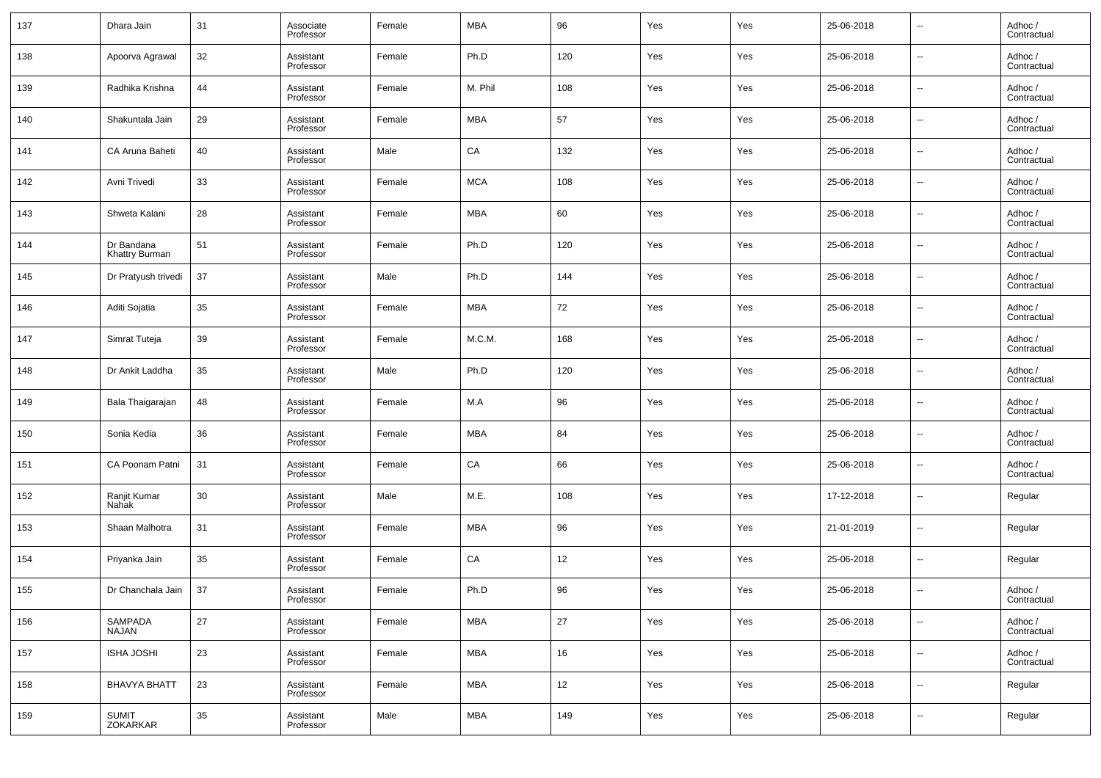| 137 | Dhara Jain                   | 31     | Associate<br>Professor | Female | MBA        | 96  | Yes | Yes | 25-06-2018 | $\overline{\phantom{a}}$ | Adhoc /<br>Contractual |
|-----|------------------------------|--------|------------------------|--------|------------|-----|-----|-----|------------|--------------------------|------------------------|
| 138 | Apoorva Agrawal              | 32     | Assistant<br>Professor | Female | Ph.D       | 120 | Yes | Yes | 25-06-2018 | $\overline{\phantom{a}}$ | Adhoc /<br>Contractual |
| 139 | Radhika Krishna              | 44     | Assistant<br>Professor | Female | M. Phil    | 108 | Yes | Yes | 25-06-2018 | $\overline{\phantom{a}}$ | Adhoc /<br>Contractual |
| 140 | Shakuntala Jain              | 29     | Assistant<br>Professor | Female | MBA        | 57  | Yes | Yes | 25-06-2018 | $\overline{\phantom{a}}$ | Adhoc /<br>Contractual |
| 141 | CA Aruna Baheti              | 40     | Assistant<br>Professor | Male   | CA         | 132 | Yes | Yes | 25-06-2018 | $\overline{\phantom{a}}$ | Adhoc /<br>Contractual |
| 142 | Avni Trivedi                 | 33     | Assistant<br>Professor | Female | <b>MCA</b> | 108 | Yes | Yes | 25-06-2018 | $\overline{\phantom{a}}$ | Adhoc /<br>Contractual |
| 143 | Shweta Kalani                | 28     | Assistant<br>Professor | Female | MBA        | 60  | Yes | Yes | 25-06-2018 | $\overline{\phantom{a}}$ | Adhoc /<br>Contractual |
| 144 | Dr Bandana<br>Khattry Burman | 51     | Assistant<br>Professor | Female | Ph.D       | 120 | Yes | Yes | 25-06-2018 | $\overline{\phantom{a}}$ | Adhoc /<br>Contractual |
| 145 | Dr Pratyush trivedi          | 37     | Assistant<br>Professor | Male   | Ph.D       | 144 | Yes | Yes | 25-06-2018 | $\overline{\phantom{a}}$ | Adhoc /<br>Contractual |
| 146 | Aditi Sojatia                | 35     | Assistant<br>Professor | Female | MBA        | 72  | Yes | Yes | 25-06-2018 | $\overline{\phantom{a}}$ | Adhoc /<br>Contractual |
| 147 | Simrat Tuteja                | 39     | Assistant<br>Professor | Female | M.C.M.     | 168 | Yes | Yes | 25-06-2018 | $\overline{\phantom{a}}$ | Adhoc /<br>Contractual |
| 148 | Dr Ankit Laddha              | 35     | Assistant<br>Professor | Male   | Ph.D       | 120 | Yes | Yes | 25-06-2018 | $\overline{\phantom{a}}$ | Adhoc /<br>Contractual |
| 149 | Bala Thaigarajan             | 48     | Assistant<br>Professor | Female | M.A        | 96  | Yes | Yes | 25-06-2018 | $\overline{\phantom{a}}$ | Adhoc /<br>Contractual |
| 150 | Sonia Kedia                  | 36     | Assistant<br>Professor | Female | MBA        | 84  | Yes | Yes | 25-06-2018 | $\overline{\phantom{a}}$ | Adhoc /<br>Contractual |
| 151 | CA Poonam Patni              | 31     | Assistant<br>Professor | Female | CA         | 66  | Yes | Yes | 25-06-2018 | $\overline{\phantom{a}}$ | Adhoc /<br>Contractual |
| 152 | Ranjit Kumar<br>Nahak        | 30     | Assistant<br>Professor | Male   | M.E.       | 108 | Yes | Yes | 17-12-2018 | $\overline{\phantom{a}}$ | Regular                |
| 153 | Shaan Malhotra               | 31     | Assistant<br>Professor | Female | MBA        | 96  | Yes | Yes | 21-01-2019 | $\overline{\phantom{a}}$ | Regular                |
| 154 | Priyanka Jain                | 35     | Assistant<br>Professor | Female | CA         | 12  | Yes | Yes | 25-06-2018 | $\overline{\phantom{a}}$ | Regular                |
| 155 | Dr Chanchala Jain            | 37     | Assistant<br>Professor | Female | Ph.D       | 96  | Yes | Yes | 25-06-2018 | $\overline{\phantom{a}}$ | Adhoc /<br>Contractual |
| 156 | SAMPADA<br>NAJAN             | 27     | Assistant<br>Professor | Female | <b>MBA</b> | 27  | Yes | Yes | 25-06-2018 | $\overline{\phantom{a}}$ | Adhoc /<br>Contractual |
| 157 | <b>ISHA JOSHI</b>            | 23     | Assistant<br>Professor | Female | <b>MBA</b> | 16  | Yes | Yes | 25-06-2018 | $\overline{\phantom{a}}$ | Adhoc /<br>Contractual |
| 158 | <b>BHAVYA BHATT</b>          | 23     | Assistant<br>Professor | Female | <b>MBA</b> | 12  | Yes | Yes | 25-06-2018 | ۰.                       | Regular                |
| 159 | <b>SUMIT</b><br>ZOKARKAR     | $35\,$ | Assistant<br>Professor | Male   | <b>MBA</b> | 149 | Yes | Yes | 25-06-2018 | $\overline{\phantom{a}}$ | Regular                |